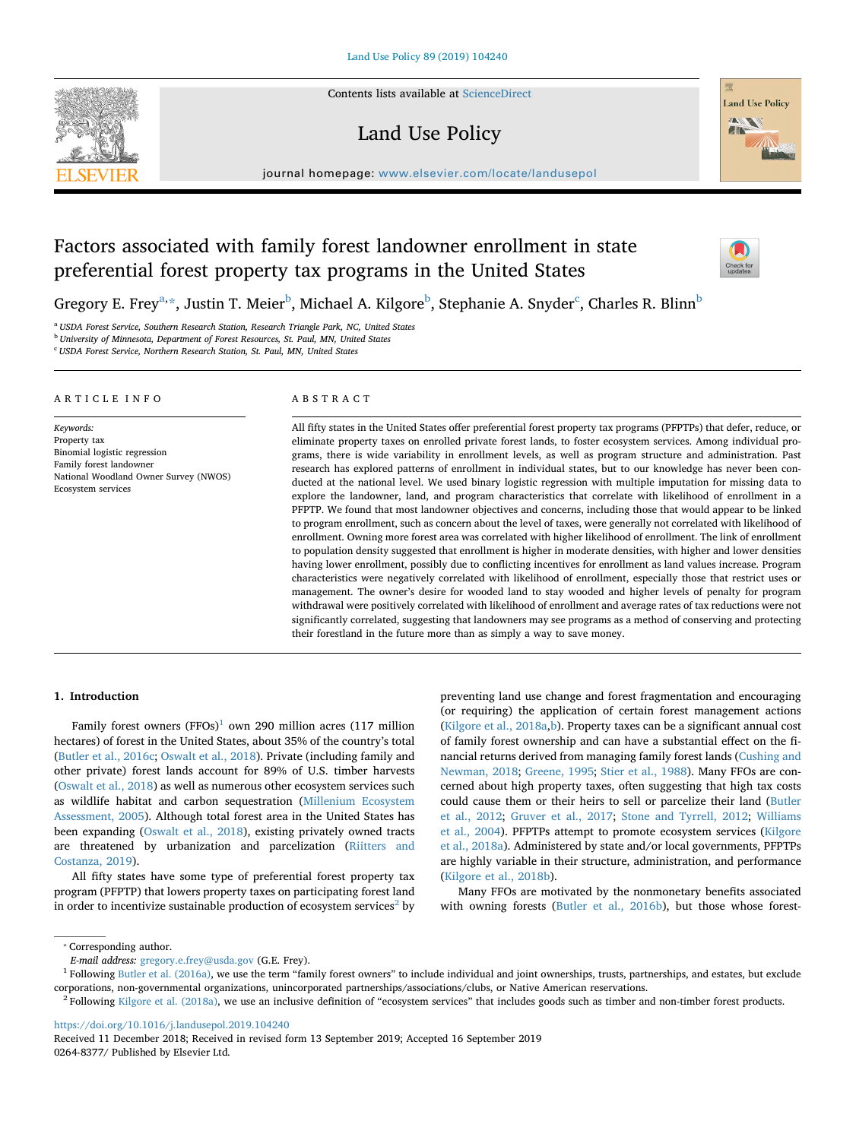

Contents lists available at [ScienceDirect](http://www.sciencedirect.com/science/journal/02648377)

## Land Use Policy



journal homepage: [www.elsevier.com/locate/landusepol](https://www.elsevier.com/locate/landusepol)

# Factors associated with family forest landowner enrollment in state preferential forest property tax programs in the United States



Gregory E. Frey<sup>[a,](#page-0-0)</sup>[\\*](#page-0-1), Justin T. Meier<sup>[b](#page-0-2)</sup>, Mi[c](#page-0-3)hael A. Kilgore<sup>b</sup>, Stephanie A. Snyder<sup>c</sup>, Charles R. Blinn<sup>b</sup>

<span id="page-0-0"></span><sup>a</sup> *USDA Forest Service, Southern Research Station, Research Triangle Park, NC, United States*

<span id="page-0-2"></span><sup>b</sup> *University of Minnesota, Department of Forest Resources, St. Paul, MN, United States*

<span id="page-0-3"></span><sup>c</sup> *USDA Forest Service, Northern Research Station, St. Paul, MN, United States*

## ARTICLE INFO

Binomial logistic regression Family forest landowner

Ecosystem services

National Woodland Owner Survey (NWOS)

*Keywords:* Property tax ABSTRACT

All fifty states in the United States offer preferential forest property tax programs (PFPTPs) that defer, reduce, or eliminate property taxes on enrolled private forest lands, to foster ecosystem services. Among individual programs, there is wide variability in enrollment levels, as well as program structure and administration. Past research has explored patterns of enrollment in individual states, but to our knowledge has never been conducted at the national level. We used binary logistic regression with multiple imputation for missing data to explore the landowner, land, and program characteristics that correlate with likelihood of enrollment in a PFPTP. We found that most landowner objectives and concerns, including those that would appear to be linked to program enrollment, such as concern about the level of taxes, were generally not correlated with likelihood of enrollment. Owning more forest area was correlated with higher likelihood of enrollment. The link of enrollment to population density suggested that enrollment is higher in moderate densities, with higher and lower densities having lower enrollment, possibly due to conflicting incentives for enrollment as land values increase. Program characteristics were negatively correlated with likelihood of enrollment, especially those that restrict uses or management. The owner's desire for wooded land to stay wooded and higher levels of penalty for program withdrawal were positively correlated with likelihood of enrollment and average rates of tax reductions were not significantly correlated, suggesting that landowners may see programs as a method of conserving and protecting their forestland in the future more than as simply a way to save money.

## **1. Introduction**

Family forest owners  $(FFOs)^1$  $(FFOs)^1$  own 290 million acres (117 million hectares) of forest in the United States, about 35% of the country's total ([Butler et al., 2016c;](#page-12-0) [Oswalt et al., 2018](#page-12-1)). Private (including family and other private) forest lands account for 89% of U.S. timber harvests ([Oswalt et al., 2018\)](#page-12-1) as well as numerous other ecosystem services such as wildlife habitat and carbon sequestration [\(Millenium Ecosystem](#page-12-2) [Assessment, 2005](#page-12-2)). Although total forest area in the United States has been expanding [\(Oswalt et al., 2018](#page-12-1)), existing privately owned tracts are threatened by urbanization and parcelization [\(Riitters and](#page-13-0) [Costanza, 2019\)](#page-13-0).

All fifty states have some type of preferential forest property tax program (PFPTP) that lowers property taxes on participating forest land in order to incentivize sustainable production of ecosystem services<sup>[2](#page-0-5)</sup> by preventing land use change and forest fragmentation and encouraging (or requiring) the application of certain forest management actions ([Kilgore et al., 2018a](#page-12-3)[,b\)](#page-12-4). Property taxes can be a significant annual cost of family forest ownership and can have a substantial effect on the financial returns derived from managing family forest lands [\(Cushing and](#page-12-5) [Newman, 2018;](#page-12-5) [Greene, 1995](#page-12-6); [Stier et al., 1988](#page-13-1)). Many FFOs are concerned about high property taxes, often suggesting that high tax costs could cause them or their heirs to sell or parcelize their land [\(Butler](#page-12-7) [et al., 2012;](#page-12-7) [Gruver et al., 2017;](#page-12-8) [Stone and Tyrrell, 2012;](#page-13-2) [Williams](#page-13-3) [et al., 2004](#page-13-3)). PFPTPs attempt to promote ecosystem services [\(Kilgore](#page-12-3) [et al., 2018a](#page-12-3)). Administered by state and/or local governments, PFPTPs are highly variable in their structure, administration, and performance ([Kilgore et al., 2018b\)](#page-12-4).

Many FFOs are motivated by the nonmonetary benefits associated with owning forests [\(Butler et al., 2016b\)](#page-12-9), but those whose forest-

<https://doi.org/10.1016/j.landusepol.2019.104240>

<span id="page-0-1"></span><sup>⁎</sup> Corresponding author.

*E-mail address:* [gregory.e.frey@usda.gov](mailto:gregory.e.frey@usda.gov) (G.E. Frey).

<span id="page-0-4"></span> $<sup>1</sup>$  Following [Butler et al. \(2016a\),](#page-12-10) we use the term "family forest owners" to include individual and joint ownerships, trusts, partnerships, and estates, but exclude</sup> corporations, non-governmental organizations, unincorporated partnerships/associations/clubs, or Native American reservations.

<span id="page-0-5"></span> $2$  Following [Kilgore et al. \(2018a\)](#page-12-3), we use an inclusive definition of "ecosystem services" that includes goods such as timber and non-timber forest products.

Received 11 December 2018; Received in revised form 13 September 2019; Accepted 16 September 2019 0264-8377/ Published by Elsevier Ltd.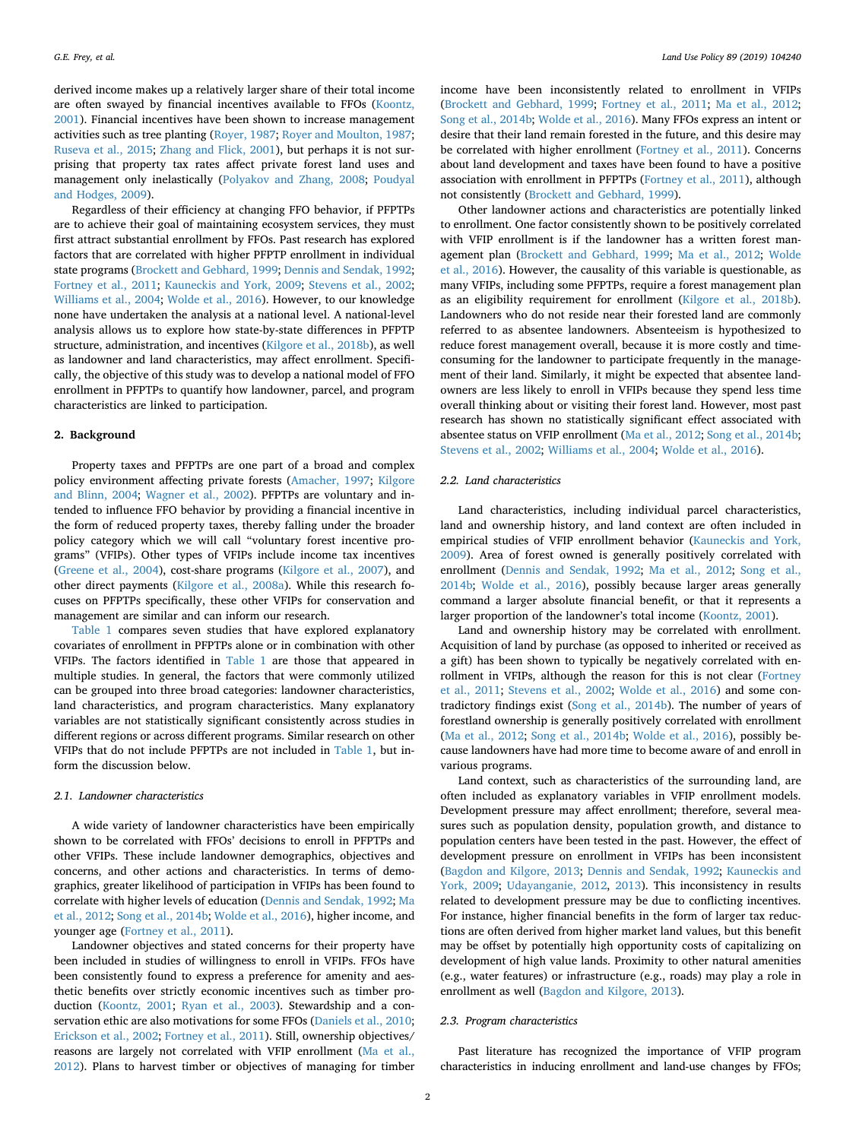derived income makes up a relatively larger share of their total income are often swayed by financial incentives available to FFOs ([Koontz,](#page-12-11) [2001\)](#page-12-11). Financial incentives have been shown to increase management activities such as tree planting ([Royer, 1987;](#page-13-4) [Royer and Moulton, 1987](#page-13-5); [Ruseva et al., 2015](#page-13-6); [Zhang and Flick, 2001\)](#page-13-7), but perhaps it is not surprising that property tax rates affect private forest land uses and management only inelastically [\(Polyakov and Zhang, 2008](#page-13-8); [Poudyal](#page-13-9) [and Hodges, 2009](#page-13-9)).

Regardless of their efficiency at changing FFO behavior, if PFPTPs are to achieve their goal of maintaining ecosystem services, they must first attract substantial enrollment by FFOs. Past research has explored factors that are correlated with higher PFPTP enrollment in individual state programs [\(Brockett and Gebhard, 1999](#page-12-12); [Dennis and Sendak, 1992](#page-12-13); [Fortney et al., 2011](#page-12-14); [Kauneckis and York, 2009;](#page-12-15) [Stevens et al., 2002](#page-13-10); [Williams et al., 2004;](#page-13-3) [Wolde et al., 2016](#page-13-11)). However, to our knowledge none have undertaken the analysis at a national level. A national-level analysis allows us to explore how state-by-state differences in PFPTP structure, administration, and incentives [\(Kilgore et al., 2018b](#page-12-4)), as well as landowner and land characteristics, may affect enrollment. Specifically, the objective of this study was to develop a national model of FFO enrollment in PFPTPs to quantify how landowner, parcel, and program characteristics are linked to participation.

#### **2. Background**

Property taxes and PFPTPs are one part of a broad and complex policy environment affecting private forests ([Amacher, 1997;](#page-12-16) [Kilgore](#page-12-17) [and Blinn, 2004;](#page-12-17) [Wagner et al., 2002\)](#page-13-12). PFPTPs are voluntary and intended to influence FFO behavior by providing a financial incentive in the form of reduced property taxes, thereby falling under the broader policy category which we will call "voluntary forest incentive programs" (VFIPs). Other types of VFIPs include income tax incentives ([Greene et al., 2004](#page-12-18)), cost-share programs ([Kilgore et al., 2007](#page-12-19)), and other direct payments [\(Kilgore et al., 2008a\)](#page-12-20). While this research focuses on PFPTPs specifically, these other VFIPs for conservation and management are similar and can inform our research.

[Table 1](#page-2-0) compares seven studies that have explored explanatory covariates of enrollment in PFPTPs alone or in combination with other VFIPs. The factors identified in [Table 1](#page-2-0) are those that appeared in multiple studies. In general, the factors that were commonly utilized can be grouped into three broad categories: landowner characteristics, land characteristics, and program characteristics. Many explanatory variables are not statistically significant consistently across studies in different regions or across different programs. Similar research on other VFIPs that do not include PFPTPs are not included in [Table 1,](#page-2-0) but inform the discussion below.

#### *2.1. Landowner characteristics*

A wide variety of landowner characteristics have been empirically shown to be correlated with FFOs' decisions to enroll in PFPTPs and other VFIPs. These include landowner demographics, objectives and concerns, and other actions and characteristics. In terms of demographics, greater likelihood of participation in VFIPs has been found to correlate with higher levels of education [\(Dennis and Sendak, 1992](#page-12-13); [Ma](#page-12-21) [et al., 2012](#page-12-21); [Song et al., 2014b;](#page-13-13) [Wolde et al., 2016](#page-13-11)), higher income, and younger age ([Fortney et al., 2011](#page-12-14)).

Landowner objectives and stated concerns for their property have been included in studies of willingness to enroll in VFIPs. FFOs have been consistently found to express a preference for amenity and aesthetic benefits over strictly economic incentives such as timber production [\(Koontz, 2001](#page-12-11); [Ryan et al., 2003\)](#page-13-14). Stewardship and a conservation ethic are also motivations for some FFOs ([Daniels et al., 2010](#page-12-22); [Erickson et al., 2002](#page-12-23); [Fortney et al., 2011](#page-12-14)). Still, ownership objectives/ reasons are largely not correlated with VFIP enrollment [\(Ma et al.,](#page-12-21) [2012\)](#page-12-21). Plans to harvest timber or objectives of managing for timber income have been inconsistently related to enrollment in VFIPs ([Brockett and Gebhard, 1999](#page-12-12); [Fortney et al., 2011](#page-12-14); [Ma et al., 2012](#page-12-21); [Song et al., 2014b](#page-13-13); [Wolde et al., 2016](#page-13-11)). Many FFOs express an intent or desire that their land remain forested in the future, and this desire may be correlated with higher enrollment ([Fortney et al., 2011](#page-12-14)). Concerns about land development and taxes have been found to have a positive association with enrollment in PFPTPs [\(Fortney et al., 2011\)](#page-12-14), although not consistently [\(Brockett and Gebhard, 1999](#page-12-12)).

Other landowner actions and characteristics are potentially linked to enrollment. One factor consistently shown to be positively correlated with VFIP enrollment is if the landowner has a written forest management plan [\(Brockett and Gebhard, 1999](#page-12-12); [Ma et al., 2012](#page-12-21); [Wolde](#page-13-11) [et al., 2016\)](#page-13-11). However, the causality of this variable is questionable, as many VFIPs, including some PFPTPs, require a forest management plan as an eligibility requirement for enrollment [\(Kilgore et al., 2018b](#page-12-4)). Landowners who do not reside near their forested land are commonly referred to as absentee landowners. Absenteeism is hypothesized to reduce forest management overall, because it is more costly and timeconsuming for the landowner to participate frequently in the management of their land. Similarly, it might be expected that absentee landowners are less likely to enroll in VFIPs because they spend less time overall thinking about or visiting their forest land. However, most past research has shown no statistically significant effect associated with absentee status on VFIP enrollment [\(Ma et al., 2012;](#page-12-21) [Song et al., 2014b](#page-13-13); [Stevens et al., 2002;](#page-13-10) [Williams et al., 2004;](#page-13-3) [Wolde et al., 2016\)](#page-13-11).

#### *2.2. Land characteristics*

Land characteristics, including individual parcel characteristics, land and ownership history, and land context are often included in empirical studies of VFIP enrollment behavior ([Kauneckis and York,](#page-12-15) [2009\)](#page-12-15). Area of forest owned is generally positively correlated with enrollment ([Dennis and Sendak, 1992;](#page-12-13) [Ma et al., 2012](#page-12-21); [Song et al.,](#page-13-13) [2014b;](#page-13-13) [Wolde et al., 2016\)](#page-13-11), possibly because larger areas generally command a larger absolute financial benefit, or that it represents a larger proportion of the landowner's total income [\(Koontz, 2001\)](#page-12-11).

Land and ownership history may be correlated with enrollment. Acquisition of land by purchase (as opposed to inherited or received as a gift) has been shown to typically be negatively correlated with enrollment in VFIPs, although the reason for this is not clear ([Fortney](#page-12-14) [et al., 2011](#page-12-14); [Stevens et al., 2002;](#page-13-10) [Wolde et al., 2016\)](#page-13-11) and some contradictory findings exist [\(Song et al., 2014b](#page-13-13)). The number of years of forestland ownership is generally positively correlated with enrollment ([Ma et al., 2012;](#page-12-21) [Song et al., 2014b;](#page-13-13) [Wolde et al., 2016](#page-13-11)), possibly because landowners have had more time to become aware of and enroll in various programs.

Land context, such as characteristics of the surrounding land, are often included as explanatory variables in VFIP enrollment models. Development pressure may affect enrollment; therefore, several measures such as population density, population growth, and distance to population centers have been tested in the past. However, the effect of development pressure on enrollment in VFIPs has been inconsistent ([Bagdon and Kilgore, 2013;](#page-12-24) [Dennis and Sendak, 1992;](#page-12-13) [Kauneckis and](#page-12-15) [York, 2009;](#page-12-15) [Udayanganie, 2012,](#page-13-15) [2013](#page-13-16)). This inconsistency in results related to development pressure may be due to conflicting incentives. For instance, higher financial benefits in the form of larger tax reductions are often derived from higher market land values, but this benefit may be offset by potentially high opportunity costs of capitalizing on development of high value lands. Proximity to other natural amenities (e.g., water features) or infrastructure (e.g., roads) may play a role in enrollment as well [\(Bagdon and Kilgore, 2013](#page-12-24)).

## *2.3. Program characteristics*

Past literature has recognized the importance of VFIP program characteristics in inducing enrollment and land-use changes by FFOs;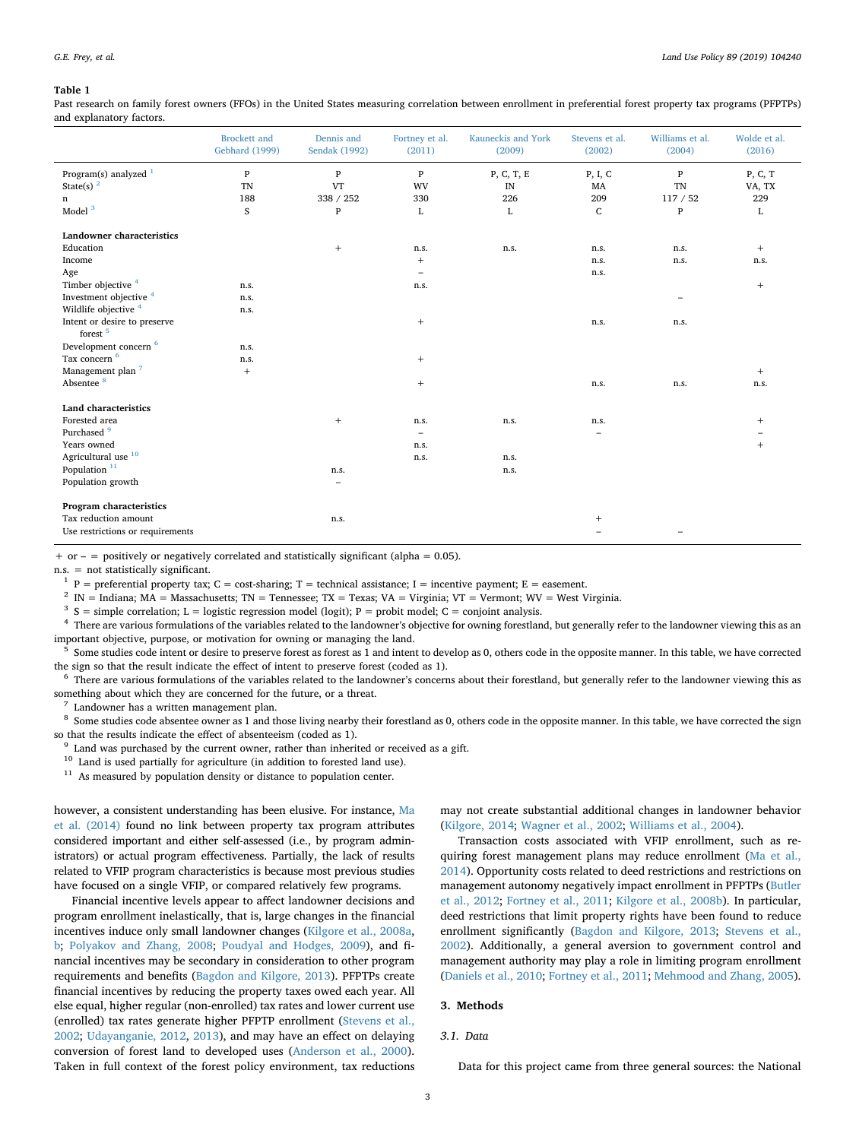#### <span id="page-2-0"></span>**Table 1**

Past research on family forest owners (FFOs) in the United States measuring correlation between enrollment in preferential forest property tax programs (PFPTPs) and explanatory factors.

|                                                     | <b>Brockett</b> and<br><b>Gebhard</b> (1999) | Dennis and<br>Sendak (1992)      | Fortney et al.<br>(2011) | Kauneckis and York<br>(2009) | Stevens et al.<br>(2002) | Williams et al.<br>(2004) | Wolde et al.<br>(2016) |
|-----------------------------------------------------|----------------------------------------------|----------------------------------|--------------------------|------------------------------|--------------------------|---------------------------|------------------------|
| Program(s) analyzed $1$                             | $\mathbf{P}$                                 | $\mathbf{P}$                     | $\, {\bf p}$             | P, C, T, E                   | P, I, C                  | $\mathbf{P}$              | P, C, T                |
| State(s) $^2$                                       | <b>TN</b>                                    | <b>VT</b>                        | WV                       | IN                           | MA                       | TN                        | VA, TX                 |
| $\mathbf n$                                         | 188                                          | 338 / 252                        | 330                      | 226                          | 209                      | 117/52                    | 229                    |
| Model <sup>3</sup>                                  | S                                            | $\mathbf{P}$                     | L                        | L                            | C                        | $\mathbf{P}$              | L                      |
| Landowner characteristics                           |                                              |                                  |                          |                              |                          |                           |                        |
| Education                                           |                                              | $\begin{array}{c} + \end{array}$ | n.s.                     | n.s.                         | n.s.                     | n.s.                      | $+$                    |
| Income                                              |                                              |                                  | $^{+}$                   |                              | n.s.                     | n.s.                      | n.s.                   |
| Age                                                 |                                              |                                  | ۰                        |                              | n.s.                     |                           |                        |
| Timber objective 4                                  | n.s.                                         |                                  | n.s.                     |                              |                          |                           | $^{+}$                 |
| Investment objective <sup>4</sup>                   | n.s.                                         |                                  |                          |                              |                          | $\overline{\phantom{a}}$  |                        |
| Wildlife objective <sup>4</sup>                     | n.s.                                         |                                  |                          |                              |                          |                           |                        |
| Intent or desire to preserve<br>forest <sup>5</sup> |                                              |                                  | $^{+}$                   |                              | n.s.                     | n.s.                      |                        |
| Development concern <sup>6</sup>                    | n.s.                                         |                                  |                          |                              |                          |                           |                        |
| Tax concern <sup>6</sup>                            | n.s.                                         |                                  | $^{+}$                   |                              |                          |                           |                        |
| Management plan <sup>7</sup>                        | $+$                                          |                                  |                          |                              |                          |                           | $+$                    |
| Absentee <sup>8</sup>                               |                                              |                                  | $^{+}$                   |                              | n.s.                     | n.s.                      | n.s.                   |
| <b>Land characteristics</b>                         |                                              |                                  |                          |                              |                          |                           |                        |
| Forested area                                       |                                              | $+$                              | n.s.                     | n.s.                         | n.s.                     |                           | $^{+}$                 |
| Purchased <sup>9</sup>                              |                                              |                                  | ÷                        |                              | -                        |                           |                        |
| Years owned                                         |                                              |                                  | n.s.                     |                              |                          |                           | $+$                    |
| Agricultural use <sup>10</sup>                      |                                              |                                  | n.s.                     | n.s.                         |                          |                           |                        |
| Population $11$                                     |                                              | n.s.                             |                          | n.s.                         |                          |                           |                        |
| Population growth                                   |                                              | $\overline{\phantom{0}}$         |                          |                              |                          |                           |                        |
| Program characteristics                             |                                              |                                  |                          |                              |                          |                           |                        |
| Tax reduction amount                                |                                              | n.s.                             |                          |                              | $^{+}$                   |                           |                        |
| Use restrictions or requirements                    |                                              |                                  |                          |                              |                          |                           |                        |

+ or – = positively or negatively correlated and statistically significant (alpha =  $0.05$ ).

n.s. = not statistically significant.

<span id="page-2-1"></span> $P =$  preferential property tax;  $C =$  cost-sharing; T = technical assistance; I = incentive payment; E = easement.

<span id="page-2-2"></span><sup>2</sup> IN = Indiana; MA = Massachusetts; TN = Tennessee; TX = Texas; VA = Virginia; VT = Vermont; WV = West Virginia.

<span id="page-2-3"></span><sup>3</sup> S = simple correlation; L = logistic regression model (logit); P = probit model; C = conjoint analysis.

<span id="page-2-4"></span><sup>4</sup> There are various formulations of the variables related to the landowner's objective for owning forestland, but generally refer to the landowner viewing this as an important objective, purpose, or motivation for owning or managing the land.

<span id="page-2-5"></span><sup>5</sup> Some studies code intent or desire to preserve forest as forest as 1 and intent to develop as 0, others code in the opposite manner. In this table, we have corrected the sign so that the result indicate the effect of intent to preserve forest (coded as 1).

<span id="page-2-6"></span><sup>6</sup> There are various formulations of the variables related to the landowner's concerns about their forestland, but generally refer to the landowner viewing this as something about which they are concerned for the future, or a threat.

<span id="page-2-7"></span>Landowner has a written management plan.

<span id="page-2-8"></span><sup>8</sup> Some studies code absentee owner as 1 and those living nearby their forestland as 0, others code in the opposite manner. In this table, we have corrected the sign so that the results indicate the effect of absenteeism (coded as 1).

<span id="page-2-9"></span><sup>9</sup> Land was purchased by the current owner, rather than inherited or received as a gift.

<span id="page-2-10"></span> $^{10}\,$  Land is used partially for agriculture (in addition to forested land use).

<span id="page-2-11"></span><sup>11</sup> As measured by population density or distance to population center.

however, a consistent understanding has been elusive. For instance, [Ma](#page-12-25) [et al. \(2014\)](#page-12-25) found no link between property tax program attributes considered important and either self-assessed (i.e., by program administrators) or actual program effectiveness. Partially, the lack of results related to VFIP program characteristics is because most previous studies have focused on a single VFIP, or compared relatively few programs.

Financial incentive levels appear to affect landowner decisions and program enrollment inelastically, that is, large changes in the financial incentives induce only small landowner changes [\(Kilgore et al., 2008a](#page-12-20), [b](#page-12-26); [Polyakov and Zhang, 2008](#page-13-8); [Poudyal and Hodges, 2009\)](#page-13-9), and financial incentives may be secondary in consideration to other program requirements and benefits [\(Bagdon and Kilgore, 2013](#page-12-24)). PFPTPs create financial incentives by reducing the property taxes owed each year. All else equal, higher regular (non-enrolled) tax rates and lower current use (enrolled) tax rates generate higher PFPTP enrollment ([Stevens et al.,](#page-13-10) [2002;](#page-13-10) [Udayanganie, 2012,](#page-13-15) [2013](#page-13-16)), and may have an effect on delaying conversion of forest land to developed uses ([Anderson et al., 2000](#page-12-27)). Taken in full context of the forest policy environment, tax reductions may not create substantial additional changes in landowner behavior ([Kilgore, 2014;](#page-12-28) [Wagner et al., 2002](#page-13-12); [Williams et al., 2004\)](#page-13-3).

Transaction costs associated with VFIP enrollment, such as requiring forest management plans may reduce enrollment ([Ma et al.,](#page-12-25) [2014\)](#page-12-25). Opportunity costs related to deed restrictions and restrictions on management autonomy negatively impact enrollment in PFPTPs [\(Butler](#page-12-7) [et al., 2012;](#page-12-7) [Fortney et al., 2011;](#page-12-14) [Kilgore et al., 2008b\)](#page-12-26). In particular, deed restrictions that limit property rights have been found to reduce enrollment significantly [\(Bagdon and Kilgore, 2013](#page-12-24); [Stevens et al.,](#page-13-10) [2002\)](#page-13-10). Additionally, a general aversion to government control and management authority may play a role in limiting program enrollment ([Daniels et al., 2010;](#page-12-22) [Fortney et al., 2011;](#page-12-14) [Mehmood and Zhang, 2005](#page-12-29)).

## **3. Methods**

## *3.1. Data*

Data for this project came from three general sources: the National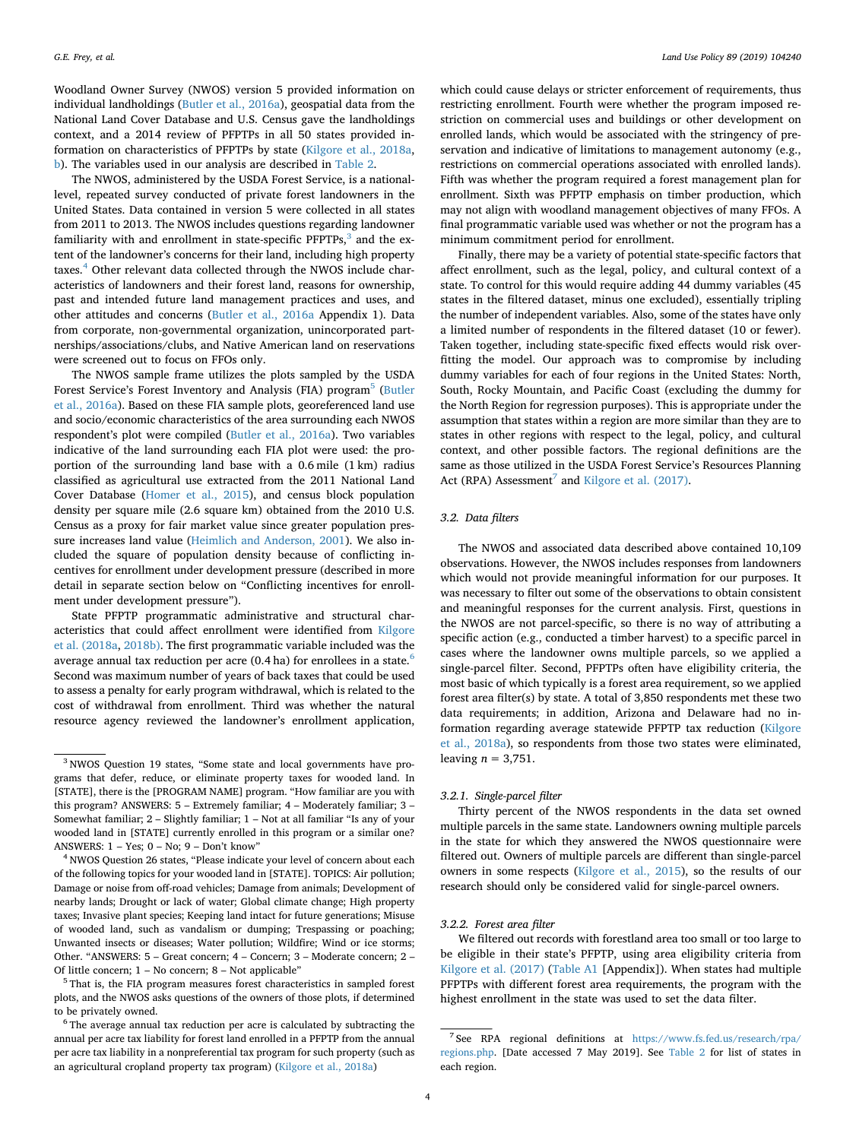Woodland Owner Survey (NWOS) version 5 provided information on individual landholdings ([Butler et al., 2016a\)](#page-12-10), geospatial data from the National Land Cover Database and U.S. Census gave the landholdings context, and a 2014 review of PFPTPs in all 50 states provided information on characteristics of PFPTPs by state ([Kilgore et al., 2018a](#page-12-3), [b](#page-12-4)). The variables used in our analysis are described in [Table 2](#page-4-0).

The NWOS, administered by the USDA Forest Service, is a nationallevel, repeated survey conducted of private forest landowners in the United States. Data contained in version 5 were collected in all states from 2011 to 2013. The NWOS includes questions regarding landowner familiarity with and enrollment in state-specific  $PFPTPs<sup>3</sup>$  and the extent of the landowner's concerns for their land, including high property taxes.<sup>[4](#page-3-1)</sup> Other relevant data collected through the NWOS include characteristics of landowners and their forest land, reasons for ownership, past and intended future land management practices and uses, and other attitudes and concerns ([Butler et al., 2016a](#page-12-10) Appendix 1). Data from corporate, non-governmental organization, unincorporated partnerships/associations/clubs, and Native American land on reservations were screened out to focus on FFOs only.

The NWOS sample frame utilizes the plots sampled by the USDA Forest Service's Forest Inventory and Analysis (FIA) program<sup>[5](#page-3-2)</sup> [\(Butler](#page-12-10) [et al., 2016a\)](#page-12-10). Based on these FIA sample plots, georeferenced land use and socio/economic characteristics of the area surrounding each NWOS respondent's plot were compiled [\(Butler et al., 2016a](#page-12-10)). Two variables indicative of the land surrounding each FIA plot were used: the proportion of the surrounding land base with a 0.6 mile (1 km) radius classified as agricultural use extracted from the 2011 National Land Cover Database [\(Homer et al., 2015](#page-12-30)), and census block population density per square mile (2.6 square km) obtained from the 2010 U.S. Census as a proxy for fair market value since greater population pressure increases land value [\(Heimlich and Anderson, 2001](#page-12-31)). We also included the square of population density because of conflicting incentives for enrollment under development pressure (described in more detail in separate section below on "Conflicting incentives for enrollment under development pressure").

State PFPTP programmatic administrative and structural characteristics that could affect enrollment were identified from [Kilgore](#page-12-3) [et al. \(2018a,](#page-12-3) [2018b\).](#page-12-4) The first programmatic variable included was the average annual tax reduction per acre (0.4 ha) for enrollees in a state.<sup>6</sup> Second was maximum number of years of back taxes that could be used to assess a penalty for early program withdrawal, which is related to the cost of withdrawal from enrollment. Third was whether the natural resource agency reviewed the landowner's enrollment application,

which could cause delays or stricter enforcement of requirements, thus restricting enrollment. Fourth were whether the program imposed restriction on commercial uses and buildings or other development on enrolled lands, which would be associated with the stringency of preservation and indicative of limitations to management autonomy (e.g., restrictions on commercial operations associated with enrolled lands). Fifth was whether the program required a forest management plan for enrollment. Sixth was PFPTP emphasis on timber production, which may not align with woodland management objectives of many FFOs. A final programmatic variable used was whether or not the program has a minimum commitment period for enrollment.

Finally, there may be a variety of potential state-specific factors that affect enrollment, such as the legal, policy, and cultural context of a state. To control for this would require adding 44 dummy variables (45 states in the filtered dataset, minus one excluded), essentially tripling the number of independent variables. Also, some of the states have only a limited number of respondents in the filtered dataset (10 or fewer). Taken together, including state-specific fixed effects would risk overfitting the model. Our approach was to compromise by including dummy variables for each of four regions in the United States: North, South, Rocky Mountain, and Pacific Coast (excluding the dummy for the North Region for regression purposes). This is appropriate under the assumption that states within a region are more similar than they are to states in other regions with respect to the legal, policy, and cultural context, and other possible factors. The regional definitions are the same as those utilized in the USDA Forest Service's Resources Planning Act (RPA) Assessment<sup>[7](#page-3-4)</sup> and [Kilgore et al. \(2017\)](#page-12-32).

#### *3.2. Data filters*

The NWOS and associated data described above contained 10,109 observations. However, the NWOS includes responses from landowners which would not provide meaningful information for our purposes. It was necessary to filter out some of the observations to obtain consistent and meaningful responses for the current analysis. First, questions in the NWOS are not parcel-specific, so there is no way of attributing a specific action (e.g., conducted a timber harvest) to a specific parcel in cases where the landowner owns multiple parcels, so we applied a single-parcel filter. Second, PFPTPs often have eligibility criteria, the most basic of which typically is a forest area requirement, so we applied forest area filter(s) by state. A total of 3,850 respondents met these two data requirements; in addition, Arizona and Delaware had no information regarding average statewide PFPTP tax reduction [\(Kilgore](#page-12-3) [et al., 2018a](#page-12-3)), so respondents from those two states were eliminated, leaving  $n = 3,751$ .

#### *3.2.1. Single-parcel filter*

Thirty percent of the NWOS respondents in the data set owned multiple parcels in the same state. Landowners owning multiple parcels in the state for which they answered the NWOS questionnaire were filtered out. Owners of multiple parcels are different than single-parcel owners in some respects [\(Kilgore et al., 2015\)](#page-12-33), so the results of our research should only be considered valid for single-parcel owners.

## *3.2.2. Forest area filter*

We filtered out records with forestland area too small or too large to be eligible in their state's PFPTP, using area eligibility criteria from [Kilgore et al. \(2017\)](#page-12-32) [\(Table A1](#page-10-0) [Appendix]). When states had multiple PFPTPs with different forest area requirements, the program with the highest enrollment in the state was used to set the data filter.

<span id="page-3-0"></span><sup>&</sup>lt;sup>3</sup> NWOS Question 19 states, "Some state and local governments have programs that defer, reduce, or eliminate property taxes for wooded land. In [STATE], there is the [PROGRAM NAME] program. "How familiar are you with this program? ANSWERS: 5 – Extremely familiar; 4 – Moderately familiar; 3 – Somewhat familiar; 2 – Slightly familiar; 1 – Not at all familiar "Is any of your wooded land in [STATE] currently enrolled in this program or a similar one? ANSWERS: 1 – Yes; 0 – No; 9 – Don't know"

<span id="page-3-1"></span><sup>&</sup>lt;sup>4</sup> NWOS Question 26 states, "Please indicate your level of concern about each of the following topics for your wooded land in [STATE]. TOPICS: Air pollution; Damage or noise from off-road vehicles; Damage from animals; Development of nearby lands; Drought or lack of water; Global climate change; High property taxes; Invasive plant species; Keeping land intact for future generations; Misuse of wooded land, such as vandalism or dumping; Trespassing or poaching; Unwanted insects or diseases; Water pollution; Wildfire; Wind or ice storms; Other. "ANSWERS: 5 – Great concern; 4 – Concern; 3 – Moderate concern; 2 – Of little concern; 1 – No concern; 8 – Not applicable"

<span id="page-3-2"></span><sup>5</sup> That is, the FIA program measures forest characteristics in sampled forest plots, and the NWOS asks questions of the owners of those plots, if determined to be privately owned.

<span id="page-3-3"></span><sup>6</sup> The average annual tax reduction per acre is calculated by subtracting the annual per acre tax liability for forest land enrolled in a PFPTP from the annual per acre tax liability in a nonpreferential tax program for such property (such as an agricultural cropland property tax program) [\(Kilgore et al., 2018a\)](#page-12-3)

<span id="page-3-4"></span> $^7$  See  $\,$  RPA  $\,$  regional  $\,$  definitions  $\,$  at  $\,$  [https://www.fs.fed.us/research/rpa/](https://www.fs.fed.us/research/rpa/regions.php)  $\,$ [regions.php.](https://www.fs.fed.us/research/rpa/regions.php) [Date accessed 7 May 2019]. See [Table 2](#page-4-0) for list of states in each region.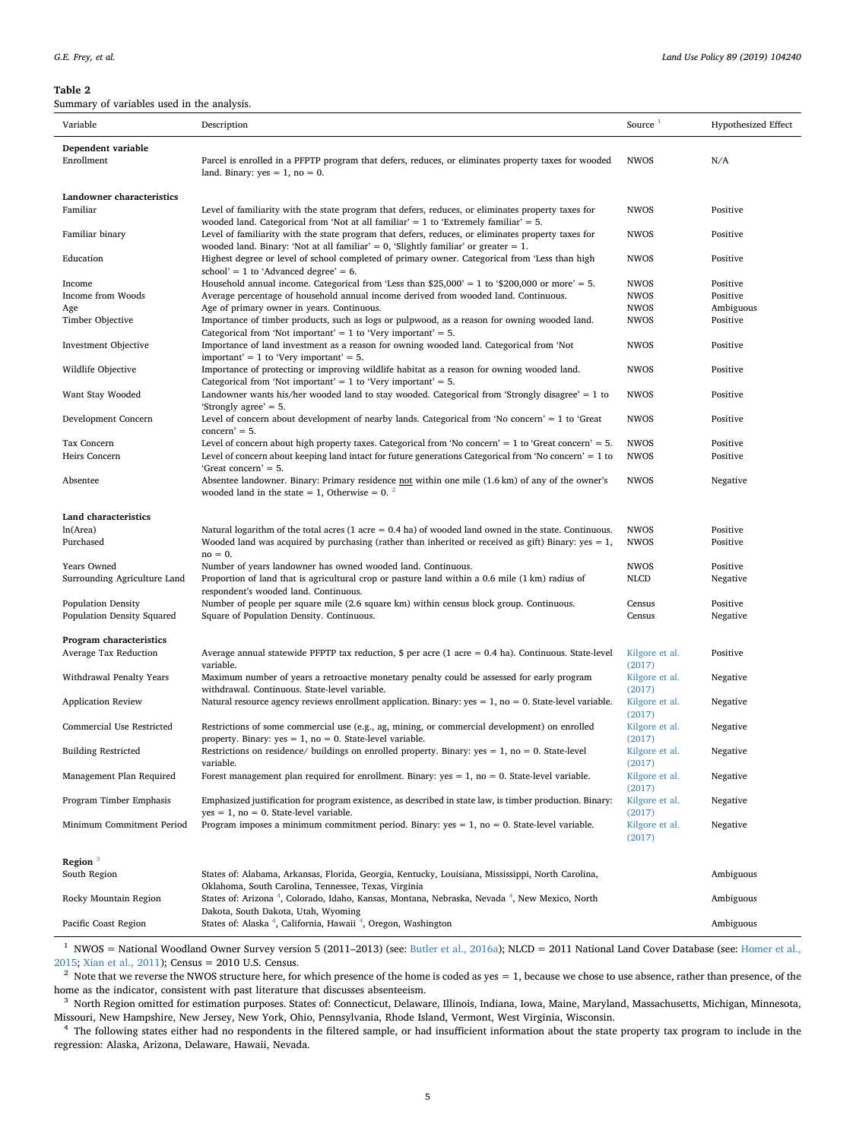<span id="page-4-0"></span>Summary of variables used in the analysis.

| Variable                                         | Description                                                                                                                                                                   | Source <sup>1</sup>      | <b>Hypothesized Effect</b> |
|--------------------------------------------------|-------------------------------------------------------------------------------------------------------------------------------------------------------------------------------|--------------------------|----------------------------|
| Dependent variable                               |                                                                                                                                                                               |                          |                            |
| Enrollment                                       | Parcel is enrolled in a PFPTP program that defers, reduces, or eliminates property taxes for wooded                                                                           | <b>NWOS</b>              | N/A                        |
|                                                  | land. Binary: $yes = 1$ , no = 0.                                                                                                                                             |                          |                            |
|                                                  |                                                                                                                                                                               |                          |                            |
| Landowner characteristics                        |                                                                                                                                                                               |                          |                            |
| Familiar                                         | Level of familiarity with the state program that defers, reduces, or eliminates property taxes for                                                                            | <b>NWOS</b>              | Positive                   |
|                                                  | wooded land. Categorical from 'Not at all familiar' = 1 to 'Extremely familiar' = 5.                                                                                          |                          |                            |
| Familiar binary                                  | Level of familiarity with the state program that defers, reduces, or eliminates property taxes for                                                                            | <b>NWOS</b>              | Positive                   |
|                                                  | wooded land. Binary: 'Not at all familiar' = 0, 'Slightly familiar' or greater = 1.                                                                                           |                          |                            |
| Education                                        | Highest degree or level of school completed of primary owner. Categorical from 'Less than high<br>school' = 1 to 'Advanced degree' = $6$ .                                    | <b>NWOS</b>              | Positive                   |
| Income                                           | Household annual income. Categorical from 'Less than $$25,000' = 1$ to '\$200,000 or more' = 5.                                                                               | <b>NWOS</b>              | Positive                   |
| Income from Woods                                | Average percentage of household annual income derived from wooded land. Continuous.                                                                                           | <b>NWOS</b>              | Positive                   |
| Age                                              | Age of primary owner in years. Continuous.                                                                                                                                    | <b>NWOS</b>              | Ambiguous                  |
| Timber Objective                                 | Importance of timber products, such as logs or pulpwood, as a reason for owning wooded land.                                                                                  | <b>NWOS</b>              | Positive                   |
|                                                  | Categorical from 'Not important' = 1 to 'Very important' = 5.                                                                                                                 |                          |                            |
| Investment Objective                             | Importance of land investment as a reason for owning wooded land. Categorical from 'Not                                                                                       | <b>NWOS</b>              | Positive                   |
|                                                  | important' = 1 to 'Very important' = 5.                                                                                                                                       |                          |                            |
| Wildlife Objective                               | Importance of protecting or improving wildlife habitat as a reason for owning wooded land.                                                                                    | <b>NWOS</b>              | Positive                   |
| Want Stay Wooded                                 | Categorical from 'Not important' = 1 to 'Very important' = 5.<br>Landowner wants his/her wooded land to stay wooded. Categorical from 'Strongly disagree' = 1 to              | <b>NWOS</b>              | Positive                   |
|                                                  | 'Strongly agree' = 5.                                                                                                                                                         |                          |                            |
| Development Concern                              | Level of concern about development of nearby lands. Categorical from 'No concern' = $1$ to 'Great                                                                             | <b>NWOS</b>              | Positive                   |
|                                                  | $concern' = 5.$                                                                                                                                                               |                          |                            |
| Tax Concern                                      | Level of concern about high property taxes. Categorical from 'No concern' = 1 to 'Great concern' = 5.                                                                         | <b>NWOS</b>              | Positive                   |
| Heirs Concern                                    | Level of concern about keeping land intact for future generations Categorical from 'No concern' $= 1$ to                                                                      | <b>NWOS</b>              | Positive                   |
|                                                  | 'Great concern' = 5.                                                                                                                                                          |                          |                            |
| Absentee                                         | Absentee landowner. Binary: Primary residence not within one mile (1.6 km) of any of the owner's                                                                              | <b>NWOS</b>              | Negative                   |
|                                                  | wooded land in the state = 1, Otherwise = $0^2$ .                                                                                                                             |                          |                            |
|                                                  |                                                                                                                                                                               |                          |                            |
| Land characteristics<br>ln(Area)                 | Natural logarithm of the total acres (1 acre = $0.4$ ha) of wooded land owned in the state. Continuous.                                                                       | <b>NWOS</b>              | Positive                   |
| Purchased                                        | Wooded land was acquired by purchasing (rather than inherited or received as gift) Binary: yes $= 1$ ,                                                                        | <b>NWOS</b>              | Positive                   |
|                                                  | $no = 0.$                                                                                                                                                                     |                          |                            |
| Years Owned                                      | Number of years landowner has owned wooded land. Continuous.                                                                                                                  | <b>NWOS</b>              | Positive                   |
| Surrounding Agriculture Land                     | Proportion of land that is agricultural crop or pasture land within a 0.6 mile (1 km) radius of                                                                               | <b>NLCD</b>              | Negative                   |
|                                                  | respondent's wooded land. Continuous.                                                                                                                                         |                          |                            |
| <b>Population Density</b>                        | Number of people per square mile (2.6 square km) within census block group. Continuous.                                                                                       | Census                   | Positive                   |
| Population Density Squared                       | Square of Population Density. Continuous.                                                                                                                                     | Census                   | Negative                   |
|                                                  |                                                                                                                                                                               |                          |                            |
| Program characteristics<br>Average Tax Reduction | Average annual statewide PFPTP tax reduction, $\frac{6}{5}$ per acre (1 acre = 0.4 ha). Continuous. State-level                                                               | Kilgore et al.           | Positive                   |
|                                                  | variable.                                                                                                                                                                     | (2017)                   |                            |
| Withdrawal Penalty Years                         | Maximum number of years a retroactive monetary penalty could be assessed for early program                                                                                    | Kilgore et al.           | Negative                   |
|                                                  | withdrawal. Continuous. State-level variable.                                                                                                                                 | (2017)                   |                            |
| <b>Application Review</b>                        | Natural resource agency reviews enrollment application. Binary: yes = $1$ , no = 0. State-level variable.                                                                     | Kilgore et al.           | Negative                   |
|                                                  |                                                                                                                                                                               | (2017)                   |                            |
| Commercial Use Restricted                        | Restrictions of some commercial use (e.g., ag, mining, or commercial development) on enrolled                                                                                 | Kilgore et al.           | Negative                   |
|                                                  | property. Binary: $yes = 1$ , $no = 0$ . State-level variable.                                                                                                                | (2017)                   |                            |
| <b>Building Restricted</b>                       | Restrictions on residence/ buildings on enrolled property. Binary: $yes = 1$ , no = 0. State-level                                                                            | Kilgore et al.           | Negative                   |
|                                                  | variable.                                                                                                                                                                     | (2017)                   |                            |
| Management Plan Required                         | Forest management plan required for enrollment. Binary: $yes = 1$ , no = 0. State-level variable.                                                                             | Kilgore et al.<br>(2017) | Negative                   |
| Program Timber Emphasis                          | Emphasized justification for program existence, as described in state law, is timber production. Binary:                                                                      | Kilgore et al.           | Negative                   |
|                                                  | $yes = 1$ , no = 0. State-level variable.                                                                                                                                     | (2017)                   |                            |
| Minimum Commitment Period                        | Program imposes a minimum commitment period. Binary: $yes = 1$ , $no = 0$ . State-level variable.                                                                             | Kilgore et al.           | Negative                   |
|                                                  |                                                                                                                                                                               | (2017)                   |                            |
|                                                  |                                                                                                                                                                               |                          |                            |
| Region <sup>3</sup>                              |                                                                                                                                                                               |                          |                            |
| South Region                                     | States of: Alabama, Arkansas, Florida, Georgia, Kentucky, Louisiana, Mississippi, North Carolina,                                                                             |                          | Ambiguous                  |
| Rocky Mountain Region                            | Oklahoma, South Carolina, Tennessee, Texas, Virginia<br>States of: Arizona <sup>4</sup> , Colorado, Idaho, Kansas, Montana, Nebraska, Nevada <sup>4</sup> , New Mexico, North |                          | Ambiguous                  |
|                                                  | Dakota, South Dakota, Utah, Wyoming                                                                                                                                           |                          |                            |
| Pacific Coast Region                             | States of: Alaska <sup>4</sup> , California, Hawaii <sup>4</sup> , Oregon, Washington                                                                                         |                          | Ambiguous                  |

<span id="page-4-1"></span> $1$  NWOS = National Woodland Owner Survey version 5 (2011–2013) (see: [Butler et al., 2016a\)](#page-12-10); NLCD = 2011 National Land Cover Database (see: [Homer et al.,](#page-12-30) [2015;](#page-12-30) [Xian et al., 2011\)](#page-13-17); Census = 2010 U.S. Census.

<span id="page-4-2"></span> $2$  Note that we reverse the NWOS structure here, for which presence of the home is coded as yes  $= 1$ , because we chose to use absence, rather than presence, of the home as the indicator, consistent with past literature that discusses absenteeism.

<span id="page-4-3"></span><sup>3</sup> North Region omitted for estimation purposes. States of: Connecticut, Delaware, Illinois, Indiana, Iowa, Maine, Maryland, Massachusetts, Michigan, Minnesota, Missouri, New Hampshire, New Jersey, New York, Ohio, Pennsylvania, Rhode Island, Vermont, West Virginia, Wisconsin.

<span id="page-4-4"></span><sup>4</sup> The following states either had no respondents in the filtered sample, or had insufficient information about the state property tax program to include in the regression: Alaska, Arizona, Delaware, Hawaii, Nevada.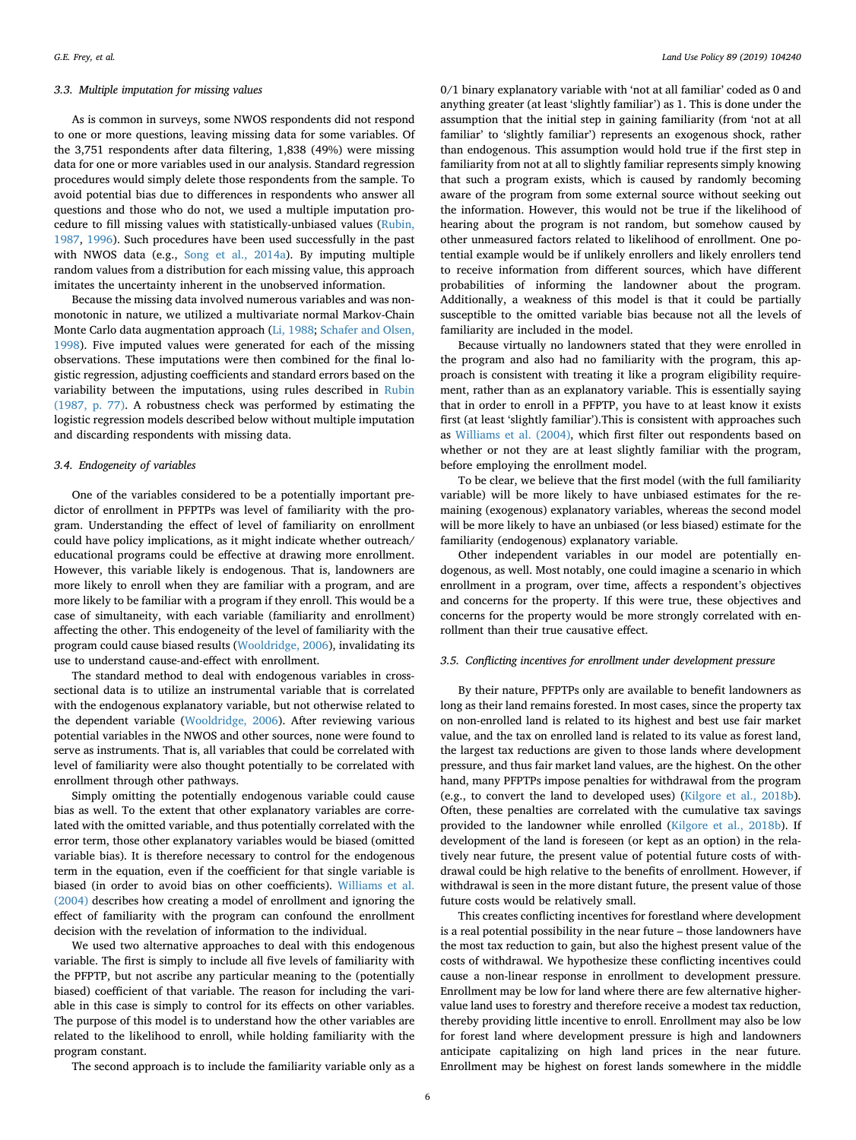## *3.3. Multiple imputation for missing values*

As is common in surveys, some NWOS respondents did not respond to one or more questions, leaving missing data for some variables. Of the 3,751 respondents after data filtering, 1,838 (49%) were missing data for one or more variables used in our analysis. Standard regression procedures would simply delete those respondents from the sample. To avoid potential bias due to differences in respondents who answer all questions and those who do not, we used a multiple imputation procedure to fill missing values with statistically-unbiased values [\(Rubin,](#page-13-18) [1987,](#page-13-18) [1996\)](#page-13-19). Such procedures have been used successfully in the past with NWOS data (e.g., [Song et al., 2014a\)](#page-13-20). By imputing multiple random values from a distribution for each missing value, this approach imitates the uncertainty inherent in the unobserved information.

Because the missing data involved numerous variables and was nonmonotonic in nature, we utilized a multivariate normal Markov-Chain Monte Carlo data augmentation approach ([Li, 1988;](#page-12-34) [Schafer and Olsen,](#page-13-21) [1998\)](#page-13-21). Five imputed values were generated for each of the missing observations. These imputations were then combined for the final logistic regression, adjusting coefficients and standard errors based on the variability between the imputations, using rules described in [Rubin](#page-13-18) [\(1987, p. 77\).](#page-13-18) A robustness check was performed by estimating the logistic regression models described below without multiple imputation and discarding respondents with missing data.

#### *3.4. Endogeneity of variables*

One of the variables considered to be a potentially important predictor of enrollment in PFPTPs was level of familiarity with the program. Understanding the effect of level of familiarity on enrollment could have policy implications, as it might indicate whether outreach/ educational programs could be effective at drawing more enrollment. However, this variable likely is endogenous. That is, landowners are more likely to enroll when they are familiar with a program, and are more likely to be familiar with a program if they enroll. This would be a case of simultaneity, with each variable (familiarity and enrollment) affecting the other. This endogeneity of the level of familiarity with the program could cause biased results [\(Wooldridge, 2006\)](#page-13-22), invalidating its use to understand cause-and-effect with enrollment.

The standard method to deal with endogenous variables in crosssectional data is to utilize an instrumental variable that is correlated with the endogenous explanatory variable, but not otherwise related to the dependent variable ([Wooldridge, 2006\)](#page-13-22). After reviewing various potential variables in the NWOS and other sources, none were found to serve as instruments. That is, all variables that could be correlated with level of familiarity were also thought potentially to be correlated with enrollment through other pathways.

Simply omitting the potentially endogenous variable could cause bias as well. To the extent that other explanatory variables are correlated with the omitted variable, and thus potentially correlated with the error term, those other explanatory variables would be biased (omitted variable bias). It is therefore necessary to control for the endogenous term in the equation, even if the coefficient for that single variable is biased (in order to avoid bias on other coefficients). [Williams et al.](#page-13-3) [\(2004\)](#page-13-3) describes how creating a model of enrollment and ignoring the effect of familiarity with the program can confound the enrollment decision with the revelation of information to the individual.

We used two alternative approaches to deal with this endogenous variable. The first is simply to include all five levels of familiarity with the PFPTP, but not ascribe any particular meaning to the (potentially biased) coefficient of that variable. The reason for including the variable in this case is simply to control for its effects on other variables. The purpose of this model is to understand how the other variables are related to the likelihood to enroll, while holding familiarity with the program constant.

0/1 binary explanatory variable with 'not at all familiar' coded as 0 and anything greater (at least 'slightly familiar') as 1. This is done under the assumption that the initial step in gaining familiarity (from 'not at all familiar' to 'slightly familiar') represents an exogenous shock, rather than endogenous. This assumption would hold true if the first step in familiarity from not at all to slightly familiar represents simply knowing that such a program exists, which is caused by randomly becoming aware of the program from some external source without seeking out the information. However, this would not be true if the likelihood of hearing about the program is not random, but somehow caused by other unmeasured factors related to likelihood of enrollment. One potential example would be if unlikely enrollers and likely enrollers tend to receive information from different sources, which have different probabilities of informing the landowner about the program. Additionally, a weakness of this model is that it could be partially susceptible to the omitted variable bias because not all the levels of familiarity are included in the model.

Because virtually no landowners stated that they were enrolled in the program and also had no familiarity with the program, this approach is consistent with treating it like a program eligibility requirement, rather than as an explanatory variable. This is essentially saying that in order to enroll in a PFPTP, you have to at least know it exists first (at least 'slightly familiar').This is consistent with approaches such as [Williams et al. \(2004\)](#page-13-3), which first filter out respondents based on whether or not they are at least slightly familiar with the program, before employing the enrollment model.

To be clear, we believe that the first model (with the full familiarity variable) will be more likely to have unbiased estimates for the remaining (exogenous) explanatory variables, whereas the second model will be more likely to have an unbiased (or less biased) estimate for the familiarity (endogenous) explanatory variable.

Other independent variables in our model are potentially endogenous, as well. Most notably, one could imagine a scenario in which enrollment in a program, over time, affects a respondent's objectives and concerns for the property. If this were true, these objectives and concerns for the property would be more strongly correlated with enrollment than their true causative effect.

## *3.5. Conflicting incentives for enrollment under development pressure*

By their nature, PFPTPs only are available to benefit landowners as long as their land remains forested. In most cases, since the property tax on non-enrolled land is related to its highest and best use fair market value, and the tax on enrolled land is related to its value as forest land, the largest tax reductions are given to those lands where development pressure, and thus fair market land values, are the highest. On the other hand, many PFPTPs impose penalties for withdrawal from the program (e.g., to convert the land to developed uses) ([Kilgore et al., 2018b](#page-12-4)). Often, these penalties are correlated with the cumulative tax savings provided to the landowner while enrolled [\(Kilgore et al., 2018b\)](#page-12-4). If development of the land is foreseen (or kept as an option) in the relatively near future, the present value of potential future costs of withdrawal could be high relative to the benefits of enrollment. However, if withdrawal is seen in the more distant future, the present value of those future costs would be relatively small.

This creates conflicting incentives for forestland where development is a real potential possibility in the near future – those landowners have the most tax reduction to gain, but also the highest present value of the costs of withdrawal. We hypothesize these conflicting incentives could cause a non-linear response in enrollment to development pressure. Enrollment may be low for land where there are few alternative highervalue land uses to forestry and therefore receive a modest tax reduction, thereby providing little incentive to enroll. Enrollment may also be low for forest land where development pressure is high and landowners anticipate capitalizing on high land prices in the near future. Enrollment may be highest on forest lands somewhere in the middle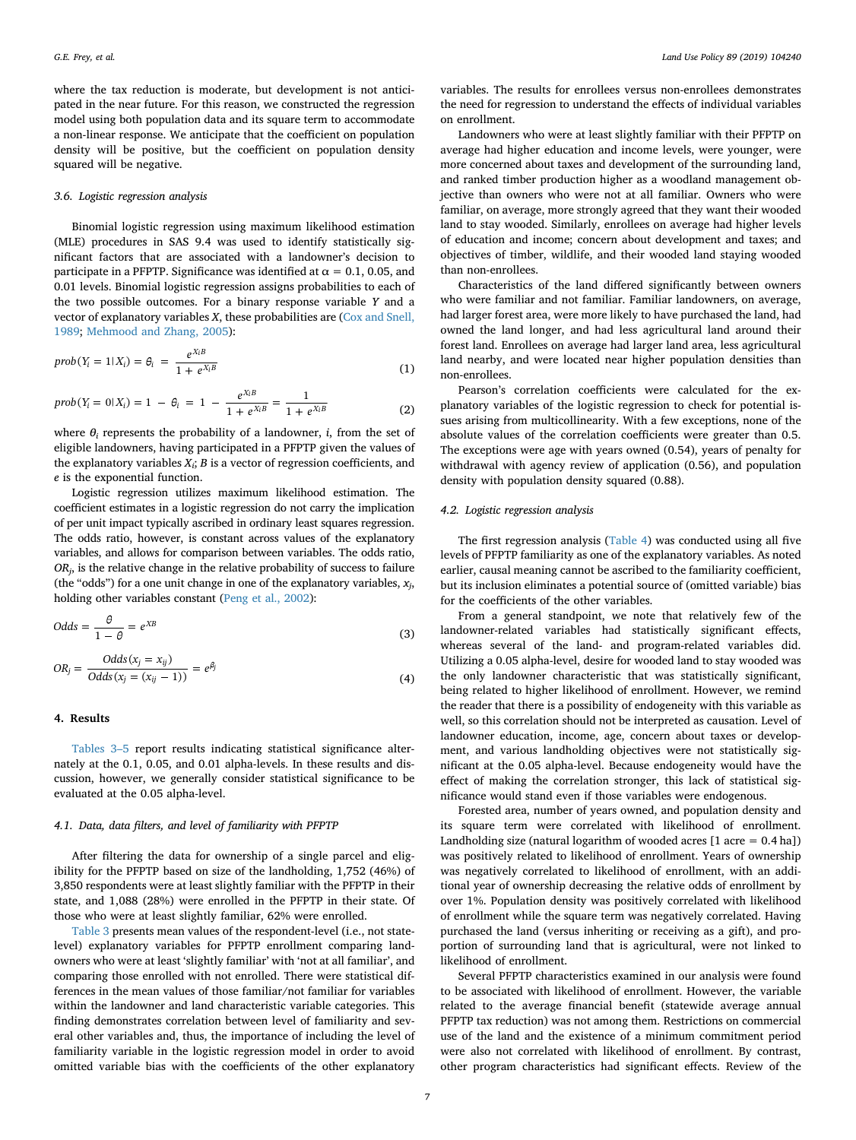where the tax reduction is moderate, but development is not anticipated in the near future. For this reason, we constructed the regression model using both population data and its square term to accommodate a non-linear response. We anticipate that the coefficient on population density will be positive, but the coefficient on population density squared will be negative.

#### *3.6. Logistic regression analysis*

Binomial logistic regression using maximum likelihood estimation (MLE) procedures in SAS 9.4 was used to identify statistically significant factors that are associated with a landowner's decision to participate in a PFPTP. Significance was identified at  $\alpha = 0.1, 0.05,$  and 0.01 levels. Binomial logistic regression assigns probabilities to each of the two possible outcomes. For a binary response variable *Y* and a vector of explanatory variables *X*, these probabilities are ([Cox and Snell,](#page-12-35) [1989;](#page-12-35) [Mehmood and Zhang, 2005\)](#page-12-29):

$$
prob(Y_i = 1 | X_i) = \theta_i = \frac{e^{X_i B}}{1 + e^{X_i B}}
$$
\n(1)

$$
prob(Y_i = 0 | X_i) = 1 - \theta_i = 1 - \frac{e^{X_i B}}{1 + e^{X_i B}} = \frac{1}{1 + e^{X_i B}}
$$
(2)

where  $\theta_i$  represents the probability of a landowner, *i*, from the set of eligible landowners, having participated in a PFPTP given the values of the explanatory variables *Xi*; *B* is a vector of regression coefficients, and *e* is the exponential function.

Logistic regression utilizes maximum likelihood estimation. The coefficient estimates in a logistic regression do not carry the implication of per unit impact typically ascribed in ordinary least squares regression. The odds ratio, however, is constant across values of the explanatory variables, and allows for comparison between variables. The odds ratio, *ORj*, is the relative change in the relative probability of success to failure (the "odds") for a one unit change in one of the explanatory variables,  $x_i$ , holding other variables constant ([Peng et al., 2002](#page-13-23)):

$$
Odds = \frac{\theta}{1 - \theta} = e^{XB} \tag{3}
$$

$$
OR_j = \frac{Odds(x_j = x_{ij})}{Odds(x_j = (x_{ij} - 1))} = e^{\beta_j}
$$
\n(4)

## **4. Results**

[Tables 3–5](#page-7-0) report results indicating statistical significance alternately at the 0.1, 0.05, and 0.01 alpha-levels. In these results and discussion, however, we generally consider statistical significance to be evaluated at the 0.05 alpha-level.

## *4.1. Data, data filters, and level of familiarity with PFPTP*

After filtering the data for ownership of a single parcel and eligibility for the PFPTP based on size of the landholding, 1,752 (46%) of 3,850 respondents were at least slightly familiar with the PFPTP in their state, and 1,088 (28%) were enrolled in the PFPTP in their state. Of those who were at least slightly familiar, 62% were enrolled.

[Table 3](#page-7-0) presents mean values of the respondent-level (i.e., not statelevel) explanatory variables for PFPTP enrollment comparing landowners who were at least 'slightly familiar' with 'not at all familiar', and comparing those enrolled with not enrolled. There were statistical differences in the mean values of those familiar/not familiar for variables within the landowner and land characteristic variable categories. This finding demonstrates correlation between level of familiarity and several other variables and, thus, the importance of including the level of familiarity variable in the logistic regression model in order to avoid omitted variable bias with the coefficients of the other explanatory

variables. The results for enrollees versus non-enrollees demonstrates the need for regression to understand the effects of individual variables on enrollment.

Landowners who were at least slightly familiar with their PFPTP on average had higher education and income levels, were younger, were more concerned about taxes and development of the surrounding land, and ranked timber production higher as a woodland management objective than owners who were not at all familiar. Owners who were familiar, on average, more strongly agreed that they want their wooded land to stay wooded. Similarly, enrollees on average had higher levels of education and income; concern about development and taxes; and objectives of timber, wildlife, and their wooded land staying wooded than non-enrollees.

Characteristics of the land differed significantly between owners who were familiar and not familiar. Familiar landowners, on average, had larger forest area, were more likely to have purchased the land, had owned the land longer, and had less agricultural land around their forest land. Enrollees on average had larger land area, less agricultural land nearby, and were located near higher population densities than non-enrollees.

Pearson's correlation coefficients were calculated for the explanatory variables of the logistic regression to check for potential issues arising from multicollinearity. With a few exceptions, none of the absolute values of the correlation coefficients were greater than 0.5. The exceptions were age with years owned (0.54), years of penalty for withdrawal with agency review of application (0.56), and population density with population density squared (0.88).

## *4.2. Logistic regression analysis*

The first regression analysis ([Table 4\)](#page-7-1) was conducted using all five levels of PFPTP familiarity as one of the explanatory variables. As noted earlier, causal meaning cannot be ascribed to the familiarity coefficient, but its inclusion eliminates a potential source of (omitted variable) bias for the coefficients of the other variables.

From a general standpoint, we note that relatively few of the landowner-related variables had statistically significant effects, whereas several of the land- and program-related variables did. Utilizing a 0.05 alpha-level, desire for wooded land to stay wooded was the only landowner characteristic that was statistically significant, being related to higher likelihood of enrollment. However, we remind the reader that there is a possibility of endogeneity with this variable as well, so this correlation should not be interpreted as causation. Level of landowner education, income, age, concern about taxes or development, and various landholding objectives were not statistically significant at the 0.05 alpha-level. Because endogeneity would have the effect of making the correlation stronger, this lack of statistical significance would stand even if those variables were endogenous.

Forested area, number of years owned, and population density and its square term were correlated with likelihood of enrollment. Landholding size (natural logarithm of wooded acres  $[1 \text{ acre} = 0.4 \text{ ha}]\$ ) was positively related to likelihood of enrollment. Years of ownership was negatively correlated to likelihood of enrollment, with an additional year of ownership decreasing the relative odds of enrollment by over 1%. Population density was positively correlated with likelihood of enrollment while the square term was negatively correlated. Having purchased the land (versus inheriting or receiving as a gift), and proportion of surrounding land that is agricultural, were not linked to likelihood of enrollment.

Several PFPTP characteristics examined in our analysis were found to be associated with likelihood of enrollment. However, the variable related to the average financial benefit (statewide average annual PFPTP tax reduction) was not among them. Restrictions on commercial use of the land and the existence of a minimum commitment period were also not correlated with likelihood of enrollment. By contrast, other program characteristics had significant effects. Review of the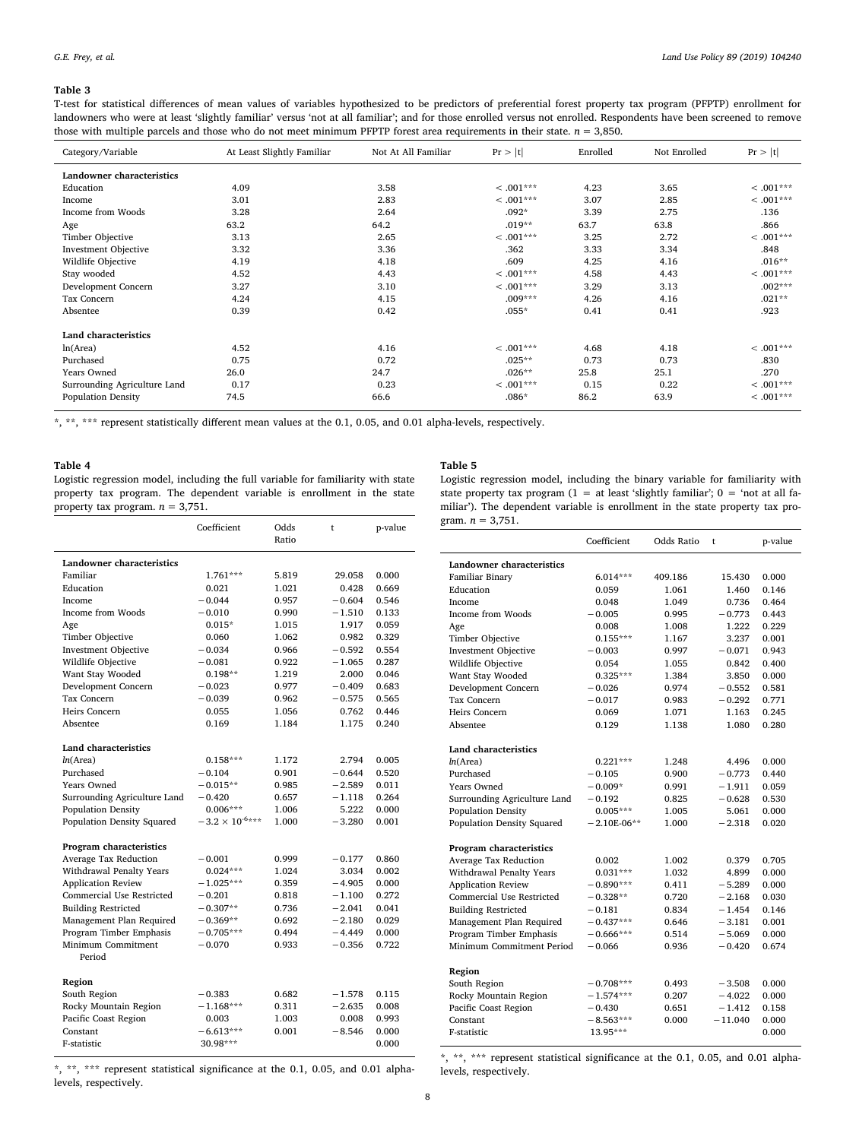#### <span id="page-7-0"></span>**Table 3**

T-test for statistical differences of mean values of variables hypothesized to be predictors of preferential forest property tax program (PFPTP) enrollment for landowners who were at least 'slightly familiar' versus 'not at all familiar'; and for those enrolled versus not enrolled. Respondents have been screened to remove those with multiple parcels and those who do not meet minimum PFPTP forest area requirements in their state. *n* = 3,850.

| Category/Variable            | At Least Slightly Familiar | Not At All Familiar | Pr >  t     | Enrolled | Not Enrolled | Pr >  t     |
|------------------------------|----------------------------|---------------------|-------------|----------|--------------|-------------|
| Landowner characteristics    |                            |                     |             |          |              |             |
| Education                    | 4.09                       | 3.58                | $< .001***$ | 4.23     | 3.65         | $< .001***$ |
| Income                       | 3.01                       | 2.83                | $< .001***$ | 3.07     | 2.85         | $< .001***$ |
| Income from Woods            | 3.28                       | 2.64                | $.092*$     | 3.39     | 2.75         | .136        |
| Age                          | 63.2                       | 64.2                | $.019**$    | 63.7     | 63.8         | .866        |
| Timber Objective             | 3.13                       | 2.65                | $< .001***$ | 3.25     | 2.72         | $< .001***$ |
| <b>Investment Objective</b>  | 3.32                       | 3.36                | .362        | 3.33     | 3.34         | .848        |
| Wildlife Objective           | 4.19                       | 4.18                | .609        | 4.25     | 4.16         | $.016**$    |
| Stay wooded                  | 4.52                       | 4.43                | $< .001***$ | 4.58     | 4.43         | $< .001***$ |
| Development Concern          | 3.27                       | 3.10                | $< .001***$ | 3.29     | 3.13         | $.002***$   |
| Tax Concern                  | 4.24                       | 4.15                | $.009***$   | 4.26     | 4.16         | $.021**$    |
| Absentee                     | 0.39                       | 0.42                | $.055*$     | 0.41     | 0.41         | .923        |
| Land characteristics         |                            |                     |             |          |              |             |
| ln(Area)                     | 4.52                       | 4.16                | $< .001***$ | 4.68     | 4.18         | $< .001***$ |
| Purchased                    | 0.75                       | 0.72                | $.025**$    | 0.73     | 0.73         | .830        |
| Years Owned                  | 26.0                       | 24.7                | $.026**$    | 25.8     | 25.1         | .270        |
| Surrounding Agriculture Land | 0.17                       | 0.23                | $<.001***$  | 0.15     | 0.22         | $< .001***$ |
| <b>Population Density</b>    | 74.5                       | 66.6                | $.086*$     | 86.2     | 63.9         | $< .001***$ |

\*, \*\*, \*\*\* represent statistically different mean values at the 0.1, 0.05, and 0.01 alpha-levels, respectively.

## <span id="page-7-1"></span>**Table 4**

Logistic regression model, including the full variable for familiarity with state property tax program. The dependent variable is enrollment in the state property tax program.  $n = 3,751$ .

#### <span id="page-7-2"></span>**Table 5**

Logistic regression model, including the binary variable for familiarity with state property tax program (1 = at least 'slightly familiar';  $0 =$  'not at all familiar'). The dependent variable is enrollment in the state property tax program.  $n = 3,751$ .

|                              | Coefficient              | Odds<br>Ratio | t        | p-value |
|------------------------------|--------------------------|---------------|----------|---------|
| Landowner characteristics    |                          |               |          |         |
| Familiar                     | $1.761***$               | 5.819         | 29.058   | 0.000   |
| Education                    | 0.021                    | 1.021         | 0.428    | 0.669   |
| Income                       | $-0.044$                 | 0.957         | $-0.604$ | 0.546   |
| Income from Woods            | $-0.010$                 | 0.990         | $-1.510$ | 0.133   |
| Age                          | $0.015*$                 | 1.015         | 1.917    | 0.059   |
| Timber Objective             | 0.060                    | 1.062         | 0.982    | 0.329   |
| <b>Investment Objective</b>  | $-0.034$                 | 0.966         | $-0.592$ | 0.554   |
| Wildlife Objective           | $-0.081$                 | 0.922         | $-1.065$ | 0.287   |
| Want Stay Wooded             | $0.198**$                | 1.219         | 2.000    | 0.046   |
| Development Concern          | $-0.023$                 | 0.977         | $-0.409$ | 0.683   |
| Tax Concern                  | $-0.039$                 | 0.962         | $-0.575$ | 0.565   |
| Heirs Concern                | 0.055                    | 1.056         | 0.762    | 0.446   |
| Absentee                     | 0.169                    | 1.184         | 1.175    | 0.240   |
| <b>Land characteristics</b>  |                          |               |          |         |
| ln(Area)                     | $0.158***$               | 1.172         | 2.794    | 0.005   |
| Purchased                    | $-0.104$                 | 0.901         | $-0.644$ | 0.520   |
| Years Owned                  | $-0.015**$               | 0.985         | $-2.589$ | 0.011   |
| Surrounding Agriculture Land | $-0.420$                 | 0.657         | $-1.118$ | 0.264   |
| Population Density           | $0.006***$               | 1.006         | 5.222    | 0.000   |
| Population Density Squared   | $-3.2 \times 10^{-6***}$ | 1.000         | $-3.280$ | 0.001   |
| Program characteristics      |                          |               |          |         |
| Average Tax Reduction        | $-0.001$                 | 0.999         | $-0.177$ | 0.860   |
| Withdrawal Penalty Years     | $0.024***$               | 1.024         | 3.034    | 0.002   |
| <b>Application Review</b>    | $-1.025***$              | 0.359         | $-4.905$ | 0.000   |
| Commercial Use Restricted    | $-0.201$                 | 0.818         | $-1.100$ | 0.272   |
| <b>Building Restricted</b>   | $-0.307**$               | 0.736         | $-2.041$ | 0.041   |
| Management Plan Required     | $-0.369**$               | 0.692         | $-2.180$ | 0.029   |
| Program Timber Emphasis      | $-0.705***$              | 0.494         | $-4.449$ | 0.000   |
| Minimum Commitment<br>Period | $-0.070$                 | 0.933         | $-0.356$ | 0.722   |
| Region                       |                          |               |          |         |
| South Region                 | $-0.383$                 | 0.682         | $-1.578$ | 0.115   |
| Rocky Mountain Region        | $-1.168***$              | 0.311         | $-2.635$ | 0.008   |
| Pacific Coast Region         | 0.003                    | 1.003         | 0.008    | 0.993   |
| Constant                     | $-6.613***$              | 0.001         | $-8.546$ | 0.000   |
| F-statistic                  | 30.98***                 |               |          | 0.000   |

\*, \*\*, \*\*\* represent statistical significance at the 0.1, 0.05, and 0.01 alphalevels, respectively.

|                                  | Coefficient   | Odds Ratio | t         | p-value |
|----------------------------------|---------------|------------|-----------|---------|
| <b>Landowner characteristics</b> |               |            |           |         |
| Familiar Binary                  | 6.014***      | 409.186    | 15.430    | 0.000   |
| Education                        | 0.059         | 1.061      | 1.460     | 0.146   |
| Income                           | 0.048         | 1.049      | 0.736     | 0.464   |
| Income from Woods                | $-0.005$      | 0.995      | $-0.773$  | 0.443   |
| Age                              | 0.008         | 1.008      | 1.222     | 0.229   |
| Timber Objective                 | $0.155***$    | 1.167      | 3.237     | 0.001   |
| <b>Investment Objective</b>      | $-0.003$      | 0.997      | $-0.071$  | 0.943   |
| Wildlife Objective               | 0.054         | 1.055      | 0.842     | 0.400   |
| Want Stay Wooded                 | $0.325***$    | 1.384      | 3.850     | 0.000   |
| Development Concern              | $-0.026$      | 0.974      | $-0.552$  | 0.581   |
| Tax Concern                      | $-0.017$      | 0.983      | $-0.292$  | 0.771   |
| Heirs Concern                    | 0.069         | 1.071      | 1.163     | 0.245   |
| Absentee                         | 0.129         | 1.138      | 1.080     | 0.280   |
|                                  |               |            |           |         |
| <b>Land characteristics</b>      |               |            |           |         |
| ln(Area)                         | $0.221***$    | 1.248      | 4.496     | 0.000   |
| Purchased                        | $-0.105$      | 0.900      | $-0.773$  | 0.440   |
| Years Owned                      | $-0.009*$     | 0.991      | $-1.911$  | 0.059   |
| Surrounding Agriculture Land     | $-0.192$      | 0.825      | $-0.628$  | 0.530   |
| Population Density               | $0.005***$    | 1.005      | 5.061     | 0.000   |
| Population Density Squared       | $-2.10E-06**$ | 1.000      | $-2.318$  | 0.020   |
| Program characteristics          |               |            |           |         |
| Average Tax Reduction            | 0.002         | 1.002      | 0.379     | 0.705   |
| Withdrawal Penalty Years         | $0.031***$    | 1.032      | 4.899     | 0.000   |
| <b>Application Review</b>        | $-0.890***$   | 0.411      | $-5.289$  | 0.000   |
| Commercial Use Restricted        | $-0.328**$    | 0.720      | $-2.168$  | 0.030   |
| <b>Building Restricted</b>       | $-0.181$      | 0.834      | $-1.454$  | 0.146   |
| Management Plan Required         | $-0.437***$   | 0.646      | $-3.181$  | 0.001   |
| Program Timber Emphasis          | $-0.666***$   | 0.514      | $-5.069$  | 0.000   |
| Minimum Commitment Period        | $-0.066$      | 0.936      | $-0.420$  | 0.674   |
| Region                           |               |            |           |         |
| South Region                     | $-0.708***$   | 0.493      | $-3.508$  | 0.000   |
| Rocky Mountain Region            | $-1.574***$   | 0.207      | $-4.022$  | 0.000   |
| Pacific Coast Region             | $-0.430$      | 0.651      | $-1.412$  | 0.158   |
| Constant                         | $-8.563***$   | 0.000      | $-11.040$ | 0.000   |
| F-statistic                      | 13.95***      |            |           | 0.000   |
|                                  |               |            |           |         |

\*, \*\*, \*\*\* represent statistical significance at the 0.1, 0.05, and 0.01 alphalevels, respectively.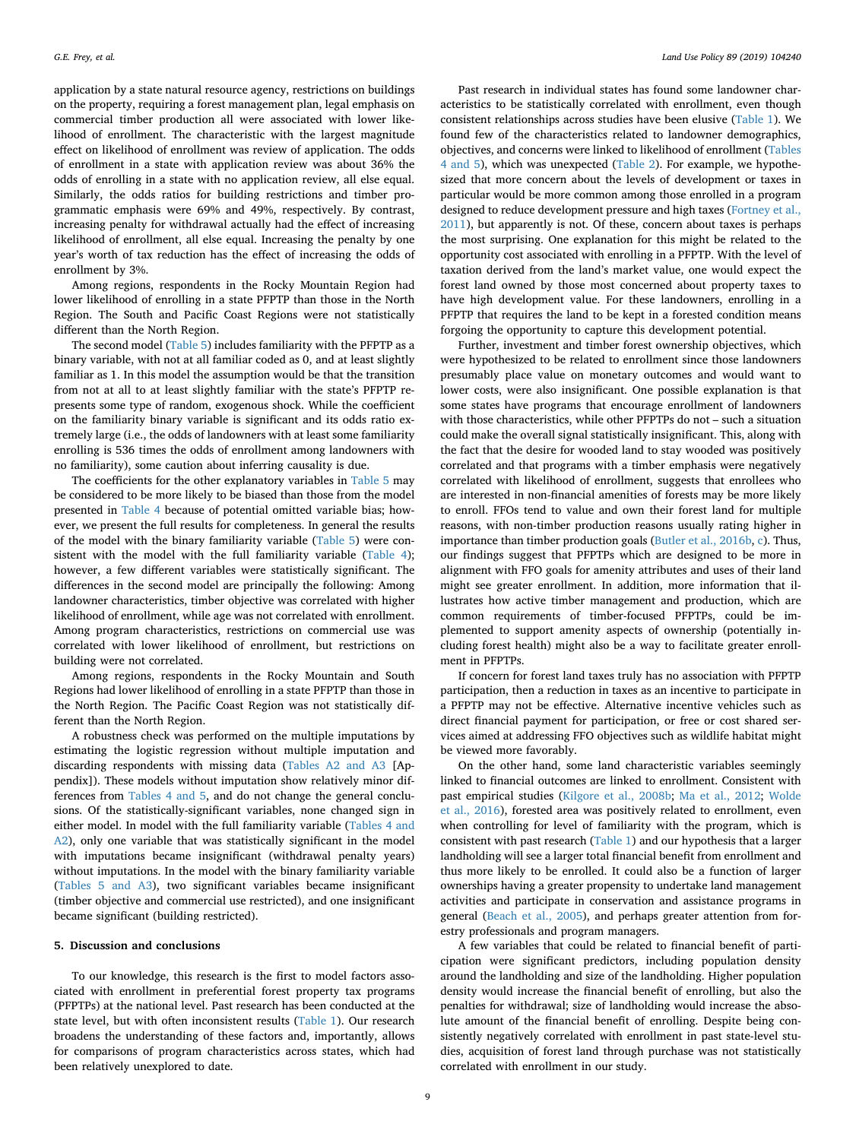application by a state natural resource agency, restrictions on buildings on the property, requiring a forest management plan, legal emphasis on commercial timber production all were associated with lower likelihood of enrollment. The characteristic with the largest magnitude effect on likelihood of enrollment was review of application. The odds of enrollment in a state with application review was about 36% the odds of enrolling in a state with no application review, all else equal. Similarly, the odds ratios for building restrictions and timber programmatic emphasis were 69% and 49%, respectively. By contrast, increasing penalty for withdrawal actually had the effect of increasing likelihood of enrollment, all else equal. Increasing the penalty by one year's worth of tax reduction has the effect of increasing the odds of enrollment by 3%.

Among regions, respondents in the Rocky Mountain Region had lower likelihood of enrolling in a state PFPTP than those in the North Region. The South and Pacific Coast Regions were not statistically different than the North Region.

The second model [\(Table 5](#page-7-2)) includes familiarity with the PFPTP as a binary variable, with not at all familiar coded as 0, and at least slightly familiar as 1. In this model the assumption would be that the transition from not at all to at least slightly familiar with the state's PFPTP represents some type of random, exogenous shock. While the coefficient on the familiarity binary variable is significant and its odds ratio extremely large (i.e., the odds of landowners with at least some familiarity enrolling is 536 times the odds of enrollment among landowners with no familiarity), some caution about inferring causality is due.

The coefficients for the other explanatory variables in [Table 5](#page-7-2) may be considered to be more likely to be biased than those from the model presented in [Table 4](#page-7-1) because of potential omitted variable bias; however, we present the full results for completeness. In general the results of the model with the binary familiarity variable [\(Table 5](#page-7-2)) were consistent with the model with the full familiarity variable [\(Table 4](#page-7-1)); however, a few different variables were statistically significant. The differences in the second model are principally the following: Among landowner characteristics, timber objective was correlated with higher likelihood of enrollment, while age was not correlated with enrollment. Among program characteristics, restrictions on commercial use was correlated with lower likelihood of enrollment, but restrictions on building were not correlated.

Among regions, respondents in the Rocky Mountain and South Regions had lower likelihood of enrolling in a state PFPTP than those in the North Region. The Pacific Coast Region was not statistically different than the North Region.

A robustness check was performed on the multiple imputations by estimating the logistic regression without multiple imputation and discarding respondents with missing data ([Tables A2 and A3](#page-11-0) [Appendix]). These models without imputation show relatively minor differences from [Tables 4 and 5](#page-7-1), and do not change the general conclusions. Of the statistically-significant variables, none changed sign in either model. In model with the full familiarity variable [\(Tables 4 and](#page-7-1) [A2](#page-7-1)), only one variable that was statistically significant in the model with imputations became insignificant (withdrawal penalty years) without imputations. In the model with the binary familiarity variable ([Tables 5 and A3\)](#page-7-2), two significant variables became insignificant (timber objective and commercial use restricted), and one insignificant became significant (building restricted).

## **5. Discussion and conclusions**

To our knowledge, this research is the first to model factors associated with enrollment in preferential forest property tax programs (PFPTPs) at the national level. Past research has been conducted at the state level, but with often inconsistent results ([Table 1](#page-2-0)). Our research broadens the understanding of these factors and, importantly, allows for comparisons of program characteristics across states, which had been relatively unexplored to date.

Past research in individual states has found some landowner characteristics to be statistically correlated with enrollment, even though consistent relationships across studies have been elusive ([Table 1\)](#page-2-0). We found few of the characteristics related to landowner demographics, objectives, and concerns were linked to likelihood of enrollment ([Tables](#page-7-1) [4 and 5](#page-7-1)), which was unexpected [\(Table 2](#page-4-0)). For example, we hypothesized that more concern about the levels of development or taxes in particular would be more common among those enrolled in a program designed to reduce development pressure and high taxes [\(Fortney et al.,](#page-12-14) [2011\)](#page-12-14), but apparently is not. Of these, concern about taxes is perhaps the most surprising. One explanation for this might be related to the opportunity cost associated with enrolling in a PFPTP. With the level of taxation derived from the land's market value, one would expect the forest land owned by those most concerned about property taxes to have high development value. For these landowners, enrolling in a PFPTP that requires the land to be kept in a forested condition means forgoing the opportunity to capture this development potential.

Further, investment and timber forest ownership objectives, which were hypothesized to be related to enrollment since those landowners presumably place value on monetary outcomes and would want to lower costs, were also insignificant. One possible explanation is that some states have programs that encourage enrollment of landowners with those characteristics, while other PFPTPs do not – such a situation could make the overall signal statistically insignificant. This, along with the fact that the desire for wooded land to stay wooded was positively correlated and that programs with a timber emphasis were negatively correlated with likelihood of enrollment, suggests that enrollees who are interested in non-financial amenities of forests may be more likely to enroll. FFOs tend to value and own their forest land for multiple reasons, with non-timber production reasons usually rating higher in importance than timber production goals ([Butler et al., 2016b](#page-12-9), [c](#page-12-0)). Thus, our findings suggest that PFPTPs which are designed to be more in alignment with FFO goals for amenity attributes and uses of their land might see greater enrollment. In addition, more information that illustrates how active timber management and production, which are common requirements of timber-focused PFPTPs, could be implemented to support amenity aspects of ownership (potentially including forest health) might also be a way to facilitate greater enrollment in PFPTPs.

If concern for forest land taxes truly has no association with PFPTP participation, then a reduction in taxes as an incentive to participate in a PFPTP may not be effective. Alternative incentive vehicles such as direct financial payment for participation, or free or cost shared services aimed at addressing FFO objectives such as wildlife habitat might be viewed more favorably.

On the other hand, some land characteristic variables seemingly linked to financial outcomes are linked to enrollment. Consistent with past empirical studies ([Kilgore et al., 2008b](#page-12-26); [Ma et al., 2012;](#page-12-21) [Wolde](#page-13-11) [et al., 2016](#page-13-11)), forested area was positively related to enrollment, even when controlling for level of familiarity with the program, which is consistent with past research ([Table 1\)](#page-2-0) and our hypothesis that a larger landholding will see a larger total financial benefit from enrollment and thus more likely to be enrolled. It could also be a function of larger ownerships having a greater propensity to undertake land management activities and participate in conservation and assistance programs in general ([Beach et al., 2005](#page-12-36)), and perhaps greater attention from forestry professionals and program managers.

A few variables that could be related to financial benefit of participation were significant predictors, including population density around the landholding and size of the landholding. Higher population density would increase the financial benefit of enrolling, but also the penalties for withdrawal; size of landholding would increase the absolute amount of the financial benefit of enrolling. Despite being consistently negatively correlated with enrollment in past state-level studies, acquisition of forest land through purchase was not statistically correlated with enrollment in our study.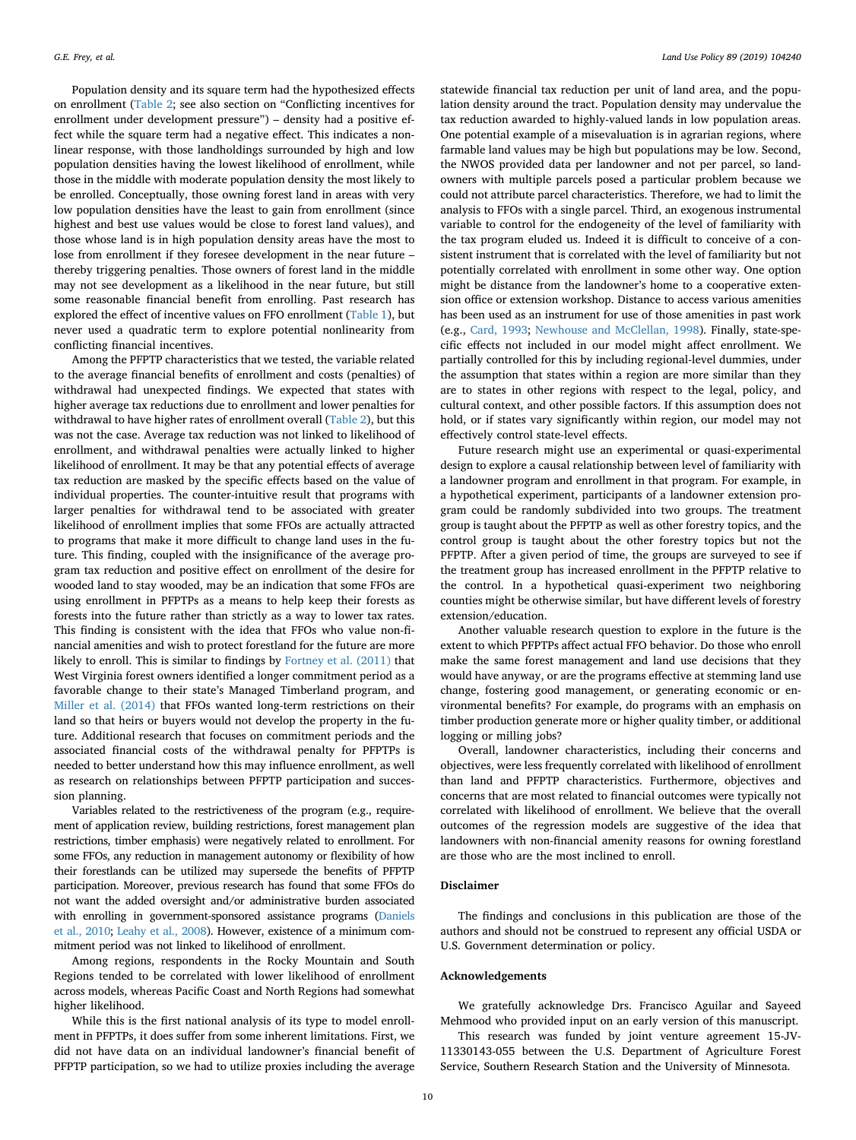Population density and its square term had the hypothesized effects on enrollment ([Table 2](#page-4-0); see also section on "Conflicting incentives for enrollment under development pressure") – density had a positive effect while the square term had a negative effect. This indicates a nonlinear response, with those landholdings surrounded by high and low population densities having the lowest likelihood of enrollment, while those in the middle with moderate population density the most likely to be enrolled. Conceptually, those owning forest land in areas with very low population densities have the least to gain from enrollment (since highest and best use values would be close to forest land values), and those whose land is in high population density areas have the most to lose from enrollment if they foresee development in the near future – thereby triggering penalties. Those owners of forest land in the middle may not see development as a likelihood in the near future, but still some reasonable financial benefit from enrolling. Past research has explored the effect of incentive values on FFO enrollment ([Table 1\)](#page-2-0), but never used a quadratic term to explore potential nonlinearity from conflicting financial incentives.

Among the PFPTP characteristics that we tested, the variable related to the average financial benefits of enrollment and costs (penalties) of withdrawal had unexpected findings. We expected that states with higher average tax reductions due to enrollment and lower penalties for withdrawal to have higher rates of enrollment overall [\(Table 2](#page-4-0)), but this was not the case. Average tax reduction was not linked to likelihood of enrollment, and withdrawal penalties were actually linked to higher likelihood of enrollment. It may be that any potential effects of average tax reduction are masked by the specific effects based on the value of individual properties. The counter-intuitive result that programs with larger penalties for withdrawal tend to be associated with greater likelihood of enrollment implies that some FFOs are actually attracted to programs that make it more difficult to change land uses in the future. This finding, coupled with the insignificance of the average program tax reduction and positive effect on enrollment of the desire for wooded land to stay wooded, may be an indication that some FFOs are using enrollment in PFPTPs as a means to help keep their forests as forests into the future rather than strictly as a way to lower tax rates. This finding is consistent with the idea that FFOs who value non-financial amenities and wish to protect forestland for the future are more likely to enroll. This is similar to findings by [Fortney et al. \(2011\)](#page-12-14) that West Virginia forest owners identified a longer commitment period as a favorable change to their state's Managed Timberland program, and [Miller et al. \(2014\)](#page-12-37) that FFOs wanted long-term restrictions on their land so that heirs or buyers would not develop the property in the future. Additional research that focuses on commitment periods and the associated financial costs of the withdrawal penalty for PFPTPs is needed to better understand how this may influence enrollment, as well as research on relationships between PFPTP participation and succession planning.

Variables related to the restrictiveness of the program (e.g., requirement of application review, building restrictions, forest management plan restrictions, timber emphasis) were negatively related to enrollment. For some FFOs, any reduction in management autonomy or flexibility of how their forestlands can be utilized may supersede the benefits of PFPTP participation. Moreover, previous research has found that some FFOs do not want the added oversight and/or administrative burden associated with enrolling in government-sponsored assistance programs ([Daniels](#page-12-22) [et al., 2010;](#page-12-22) [Leahy et al., 2008\)](#page-12-38). However, existence of a minimum commitment period was not linked to likelihood of enrollment.

Among regions, respondents in the Rocky Mountain and South Regions tended to be correlated with lower likelihood of enrollment across models, whereas Pacific Coast and North Regions had somewhat higher likelihood.

While this is the first national analysis of its type to model enrollment in PFPTPs, it does suffer from some inherent limitations. First, we did not have data on an individual landowner's financial benefit of PFPTP participation, so we had to utilize proxies including the average

statewide financial tax reduction per unit of land area, and the population density around the tract. Population density may undervalue the tax reduction awarded to highly-valued lands in low population areas. One potential example of a misevaluation is in agrarian regions, where farmable land values may be high but populations may be low. Second, the NWOS provided data per landowner and not per parcel, so landowners with multiple parcels posed a particular problem because we could not attribute parcel characteristics. Therefore, we had to limit the analysis to FFOs with a single parcel. Third, an exogenous instrumental variable to control for the endogeneity of the level of familiarity with the tax program eluded us. Indeed it is difficult to conceive of a consistent instrument that is correlated with the level of familiarity but not potentially correlated with enrollment in some other way. One option might be distance from the landowner's home to a cooperative extension office or extension workshop. Distance to access various amenities has been used as an instrument for use of those amenities in past work (e.g., [Card, 1993](#page-12-39); [Newhouse and McClellan, 1998\)](#page-12-40). Finally, state-specific effects not included in our model might affect enrollment. We partially controlled for this by including regional-level dummies, under the assumption that states within a region are more similar than they are to states in other regions with respect to the legal, policy, and cultural context, and other possible factors. If this assumption does not hold, or if states vary significantly within region, our model may not effectively control state-level effects.

Future research might use an experimental or quasi-experimental design to explore a causal relationship between level of familiarity with a landowner program and enrollment in that program. For example, in a hypothetical experiment, participants of a landowner extension program could be randomly subdivided into two groups. The treatment group is taught about the PFPTP as well as other forestry topics, and the control group is taught about the other forestry topics but not the PFPTP. After a given period of time, the groups are surveyed to see if the treatment group has increased enrollment in the PFPTP relative to the control. In a hypothetical quasi-experiment two neighboring counties might be otherwise similar, but have different levels of forestry extension/education.

Another valuable research question to explore in the future is the extent to which PFPTPs affect actual FFO behavior. Do those who enroll make the same forest management and land use decisions that they would have anyway, or are the programs effective at stemming land use change, fostering good management, or generating economic or environmental benefits? For example, do programs with an emphasis on timber production generate more or higher quality timber, or additional logging or milling jobs?

Overall, landowner characteristics, including their concerns and objectives, were less frequently correlated with likelihood of enrollment than land and PFPTP characteristics. Furthermore, objectives and concerns that are most related to financial outcomes were typically not correlated with likelihood of enrollment. We believe that the overall outcomes of the regression models are suggestive of the idea that landowners with non-financial amenity reasons for owning forestland are those who are the most inclined to enroll.

## **Disclaimer**

The findings and conclusions in this publication are those of the authors and should not be construed to represent any official USDA or U.S. Government determination or policy.

## **Acknowledgements**

We gratefully acknowledge Drs. Francisco Aguilar and Sayeed Mehmood who provided input on an early version of this manuscript.

This research was funded by joint venture agreement 15-JV-11330143-055 between the U.S. Department of Agriculture Forest Service, Southern Research Station and the University of Minnesota.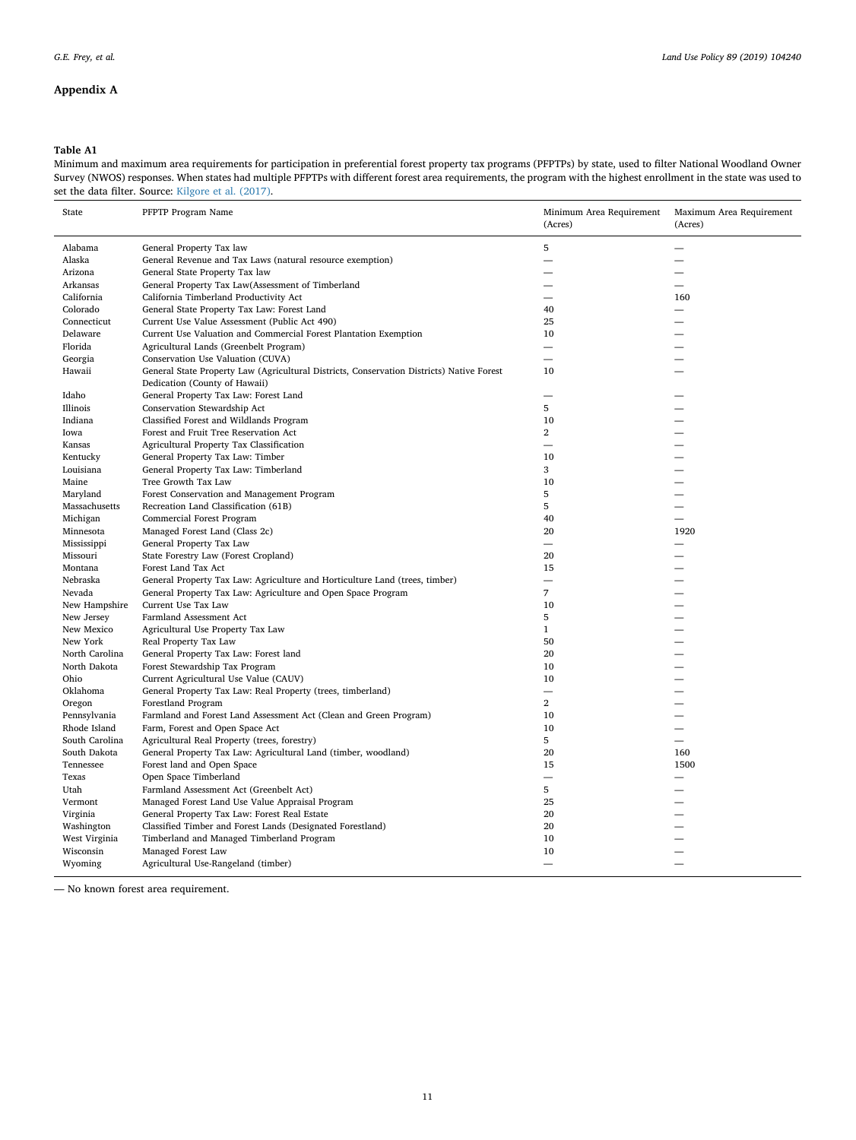## **Appendix A**

## <span id="page-10-0"></span>**Table A1**

Minimum and maximum area requirements for participation in preferential forest property tax programs (PFPTPs) by state, used to filter National Woodland Owner Survey (NWOS) responses. When states had multiple PFPTPs with different forest area requirements, the program with the highest enrollment in the state was used to set the data filter. Source: [Kilgore et al. \(2017\)](#page-12-32).

| State          | PFPTP Program Name                                                                        | Minimum Area Requirement<br>(Acres) | Maximum Area Requirement<br>(Acres) |
|----------------|-------------------------------------------------------------------------------------------|-------------------------------------|-------------------------------------|
| Alabama        | General Property Tax law                                                                  | 5                                   |                                     |
| Alaska         | General Revenue and Tax Laws (natural resource exemption)                                 |                                     |                                     |
| Arizona        | General State Property Tax law                                                            |                                     |                                     |
| Arkansas       | General Property Tax Law(Assessment of Timberland                                         |                                     |                                     |
| California     | California Timberland Productivity Act                                                    | $\overline{\phantom{0}}$            | 160                                 |
| Colorado       | General State Property Tax Law: Forest Land                                               | 40                                  |                                     |
| Connecticut    | Current Use Value Assessment (Public Act 490)                                             | 25                                  |                                     |
| Delaware       | Current Use Valuation and Commercial Forest Plantation Exemption                          | 10                                  |                                     |
| Florida        | Agricultural Lands (Greenbelt Program)                                                    |                                     |                                     |
| Georgia        | Conservation Use Valuation (CUVA)                                                         |                                     |                                     |
| Hawaii         | General State Property Law (Agricultural Districts, Conservation Districts) Native Forest | 10                                  |                                     |
|                | Dedication (County of Hawaii)                                                             |                                     |                                     |
| Idaho          | General Property Tax Law: Forest Land                                                     |                                     |                                     |
| Illinois       | Conservation Stewardship Act                                                              | 5                                   |                                     |
| Indiana        | Classified Forest and Wildlands Program                                                   | 10                                  |                                     |
| Iowa           | Forest and Fruit Tree Reservation Act                                                     | $\overline{\mathbf{2}}$             |                                     |
| Kansas         | Agricultural Property Tax Classification                                                  | -                                   |                                     |
| Kentucky       | General Property Tax Law: Timber                                                          | 10                                  |                                     |
| Louisiana      | General Property Tax Law: Timberland                                                      | 3                                   |                                     |
| Maine          | Tree Growth Tax Law                                                                       | 10                                  |                                     |
| Maryland       | Forest Conservation and Management Program                                                | 5                                   |                                     |
| Massachusetts  | Recreation Land Classification (61B)                                                      | 5                                   |                                     |
| Michigan       | Commercial Forest Program                                                                 | 40                                  | $\overline{\phantom{0}}$            |
| Minnesota      | Managed Forest Land (Class 2c)                                                            | 20                                  | 1920                                |
| Mississippi    | General Property Tax Law                                                                  |                                     |                                     |
| Missouri       | State Forestry Law (Forest Cropland)                                                      | 20                                  |                                     |
| Montana        | Forest Land Tax Act                                                                       | 15                                  |                                     |
| Nebraska       | General Property Tax Law: Agriculture and Horticulture Land (trees, timber)               | -                                   |                                     |
| Nevada         | General Property Tax Law: Agriculture and Open Space Program                              | 7                                   |                                     |
| New Hampshire  | Current Use Tax Law                                                                       | 10                                  |                                     |
| New Jersey     | Farmland Assessment Act                                                                   | 5                                   |                                     |
| New Mexico     |                                                                                           | $\mathbf{1}$                        |                                     |
|                | Agricultural Use Property Tax Law                                                         | 50                                  |                                     |
| New York       | Real Property Tax Law                                                                     | 20                                  |                                     |
| North Carolina | General Property Tax Law: Forest land                                                     |                                     |                                     |
| North Dakota   | Forest Stewardship Tax Program                                                            | 10                                  |                                     |
| Ohio           | Current Agricultural Use Value (CAUV)                                                     | 10<br>$\overline{\phantom{0}}$      |                                     |
| Oklahoma       | General Property Tax Law: Real Property (trees, timberland)                               | $\overline{2}$                      |                                     |
| Oregon         | Forestland Program                                                                        |                                     |                                     |
| Pennsylvania   | Farmland and Forest Land Assessment Act (Clean and Green Program)                         | 10                                  |                                     |
| Rhode Island   | Farm, Forest and Open Space Act                                                           | 10                                  |                                     |
| South Carolina | Agricultural Real Property (trees, forestry)                                              | 5                                   |                                     |
| South Dakota   | General Property Tax Law: Agricultural Land (timber, woodland)                            | 20                                  | 160                                 |
| Tennessee      | Forest land and Open Space                                                                | 15                                  | 1500                                |
| Texas          | Open Space Timberland                                                                     | $\overline{\phantom{0}}$            |                                     |
| Utah           | Farmland Assessment Act (Greenbelt Act)                                                   | 5                                   |                                     |
| Vermont        | Managed Forest Land Use Value Appraisal Program                                           | 25                                  |                                     |
| Virginia       | General Property Tax Law: Forest Real Estate                                              | 20                                  |                                     |
| Washington     | Classified Timber and Forest Lands (Designated Forestland)                                | 20                                  |                                     |
| West Virginia  | Timberland and Managed Timberland Program                                                 | 10                                  |                                     |
| Wisconsin      | Managed Forest Law                                                                        | 10                                  |                                     |
| Wyoming        | Agricultural Use-Rangeland (timber)                                                       |                                     |                                     |

— No known forest area requirement.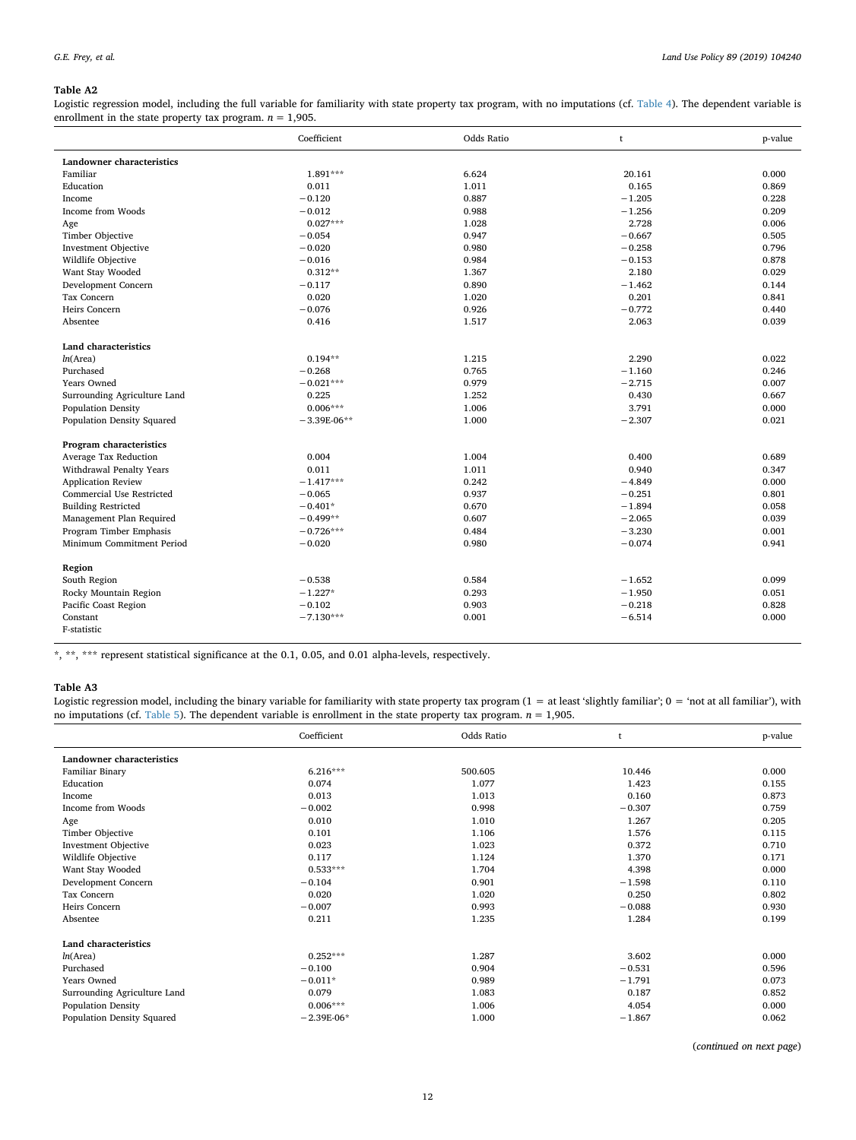## <span id="page-11-0"></span>**Table A2**

Logistic regression model, including the full variable for familiarity with state property tax program, with no imputations (cf. [Table 4\)](#page-7-1). The dependent variable is enrollment in the state property tax program.  $n = 1,905$ .

|                              | Coefficient   | Odds Ratio | t        | p-value |
|------------------------------|---------------|------------|----------|---------|
| Landowner characteristics    |               |            |          |         |
| Familiar                     | $1.891***$    | 6.624      | 20.161   | 0.000   |
| Education                    | 0.011         | 1.011      | 0.165    | 0.869   |
| Income                       | $-0.120$      | 0.887      | $-1.205$ | 0.228   |
| Income from Woods            | $-0.012$      | 0.988      | $-1.256$ | 0.209   |
| Age                          | $0.027***$    | 1.028      | 2.728    | 0.006   |
| Timber Objective             | $-0.054$      | 0.947      | $-0.667$ | 0.505   |
| <b>Investment Objective</b>  | $-0.020$      | 0.980      | $-0.258$ | 0.796   |
| Wildlife Objective           | $-0.016$      | 0.984      | $-0.153$ | 0.878   |
| Want Stay Wooded             | $0.312**$     | 1.367      | 2.180    | 0.029   |
| Development Concern          | $-0.117$      | 0.890      | $-1.462$ | 0.144   |
| Tax Concern                  | 0.020         | 1.020      | 0.201    | 0.841   |
| Heirs Concern                | $-0.076$      | 0.926      | $-0.772$ | 0.440   |
| Absentee                     | 0.416         | 1.517      | 2.063    | 0.039   |
| Land characteristics         |               |            |          |         |
| ln(Area)                     | $0.194**$     | 1.215      | 2.290    | 0.022   |
| Purchased                    | $-0.268$      | 0.765      | $-1.160$ | 0.246   |
| Years Owned                  | $-0.021***$   | 0.979      | $-2.715$ | 0.007   |
| Surrounding Agriculture Land | 0.225         | 1.252      | 0.430    | 0.667   |
| Population Density           | $0.006***$    | 1.006      | 3.791    | 0.000   |
| Population Density Squared   | $-3.39E-06**$ | 1.000      | $-2.307$ | 0.021   |
| Program characteristics      |               |            |          |         |
| Average Tax Reduction        | 0.004         | 1.004      | 0.400    | 0.689   |
| Withdrawal Penalty Years     | 0.011         | 1.011      | 0.940    | 0.347   |
| <b>Application Review</b>    | $-1.417***$   | 0.242      | $-4.849$ | 0.000   |
| Commercial Use Restricted    | $-0.065$      | 0.937      | $-0.251$ | 0.801   |
| <b>Building Restricted</b>   | $-0.401*$     | 0.670      | $-1.894$ | 0.058   |
| Management Plan Required     | $-0.499**$    | 0.607      | $-2.065$ | 0.039   |
| Program Timber Emphasis      | $-0.726***$   | 0.484      | $-3.230$ | 0.001   |
| Minimum Commitment Period    | $-0.020$      | 0.980      | $-0.074$ | 0.941   |
| Region                       |               |            |          |         |
| South Region                 | $-0.538$      | 0.584      | $-1.652$ | 0.099   |
| Rocky Mountain Region        | $-1.227*$     | 0.293      | $-1.950$ | 0.051   |
| Pacific Coast Region         | $-0.102$      | 0.903      | $-0.218$ | 0.828   |
| Constant                     | $-7.130***$   | 0.001      | $-6.514$ | 0.000   |
| F-statistic                  |               |            |          |         |

\*, \*\*, \*\*\* represent statistical significance at the 0.1, 0.05, and 0.01 alpha-levels, respectively.

## **Table A3**

Logistic regression model, including the binary variable for familiarity with state property tax program  $(1 = at least 'slightly familiar'; 0 = 'not at all familiar'), with$ no imputations (cf. [Table 5](#page-7-2)). The dependent variable is enrollment in the state property tax program.  $n = 1,905$ .

|                              | Coefficient  | Odds Ratio | t        | p-value |
|------------------------------|--------------|------------|----------|---------|
| Landowner characteristics    |              |            |          |         |
| Familiar Binary              | $6.216***$   | 500.605    | 10.446   | 0.000   |
| Education                    | 0.074        | 1.077      | 1.423    | 0.155   |
| Income                       | 0.013        | 1.013      | 0.160    | 0.873   |
| Income from Woods            | $-0.002$     | 0.998      | $-0.307$ | 0.759   |
| Age                          | 0.010        | 1.010      | 1.267    | 0.205   |
| Timber Objective             | 0.101        | 1.106      | 1.576    | 0.115   |
| <b>Investment Objective</b>  | 0.023        | 1.023      | 0.372    | 0.710   |
| Wildlife Objective           | 0.117        | 1.124      | 1.370    | 0.171   |
| Want Stay Wooded             | $0.533***$   | 1.704      | 4.398    | 0.000   |
| Development Concern          | $-0.104$     | 0.901      | $-1.598$ | 0.110   |
| Tax Concern                  | 0.020        | 1.020      | 0.250    | 0.802   |
| Heirs Concern                | $-0.007$     | 0.993      | $-0.088$ | 0.930   |
| Absentee                     | 0.211        | 1.235      | 1.284    | 0.199   |
| Land characteristics         |              |            |          |         |
| ln(Area)                     | $0.252***$   | 1.287      | 3.602    | 0.000   |
| Purchased                    | $-0.100$     | 0.904      | $-0.531$ | 0.596   |
| Years Owned                  | $-0.011*$    | 0.989      | $-1.791$ | 0.073   |
| Surrounding Agriculture Land | 0.079        | 1.083      | 0.187    | 0.852   |
| <b>Population Density</b>    | $0.006***$   | 1.006      | 4.054    | 0.000   |
| Population Density Squared   | $-2.39E-06*$ | 1.000      | $-1.867$ | 0.062   |

(*continued on next page*)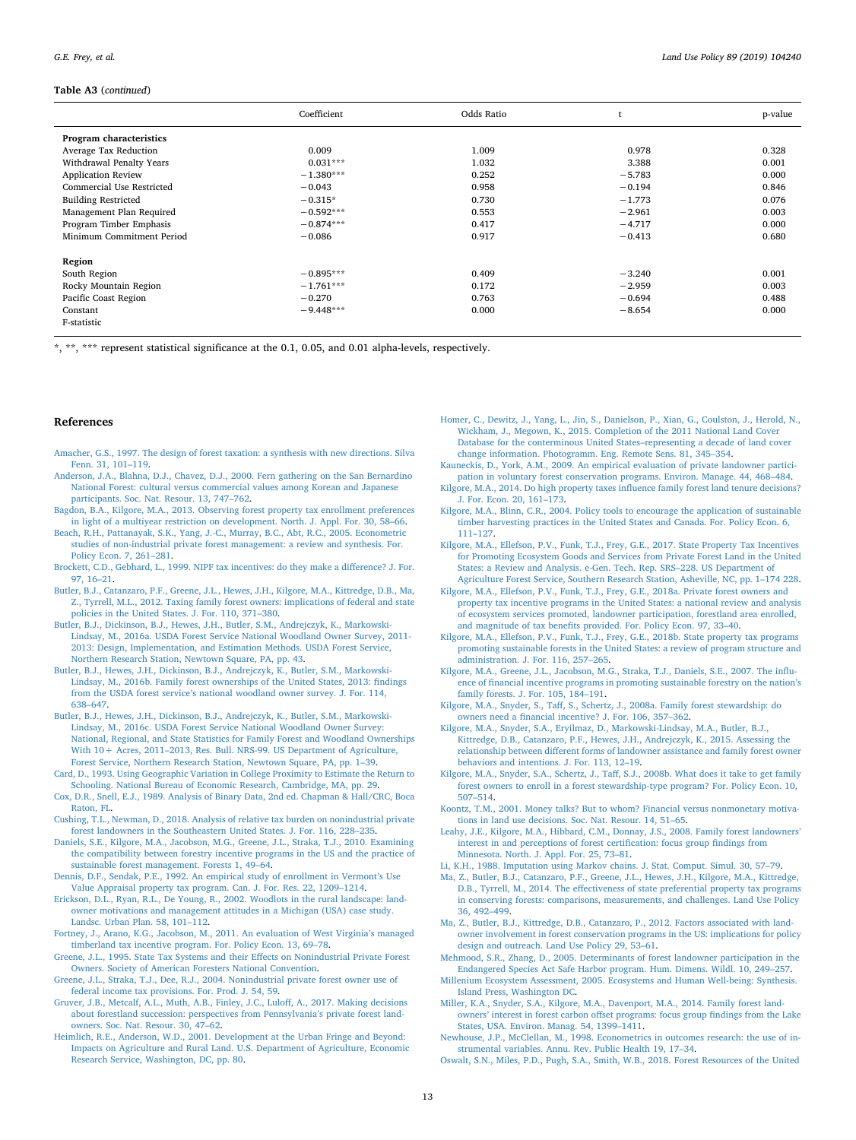#### **Table A3** (*continued*)

|                            | Coefficient | Odds Ratio |          | p-value |
|----------------------------|-------------|------------|----------|---------|
| Program characteristics    |             |            |          |         |
| Average Tax Reduction      | 0.009       | 1.009      | 0.978    | 0.328   |
| Withdrawal Penalty Years   | $0.031***$  | 1.032      | 3.388    | 0.001   |
| <b>Application Review</b>  | $-1.380***$ | 0.252      | $-5.783$ | 0.000   |
| Commercial Use Restricted  | $-0.043$    | 0.958      | $-0.194$ | 0.846   |
| <b>Building Restricted</b> | $-0.315*$   | 0.730      | $-1.773$ | 0.076   |
| Management Plan Required   | $-0.592***$ | 0.553      | $-2.961$ | 0.003   |
| Program Timber Emphasis    | $-0.874***$ | 0.417      | $-4.717$ | 0.000   |
| Minimum Commitment Period  | $-0.086$    | 0.917      | $-0.413$ | 0.680   |
| Region                     |             |            |          |         |
| South Region               | $-0.895***$ | 0.409      | $-3.240$ | 0.001   |
| Rocky Mountain Region      | $-1.761***$ | 0.172      | $-2.959$ | 0.003   |
| Pacific Coast Region       | $-0.270$    | 0.763      | $-0.694$ | 0.488   |
| Constant                   | $-9.448***$ | 0.000      | $-8.654$ | 0.000   |
| F-statistic                |             |            |          |         |

\*, \*\*, \*\*\* represent statistical significance at the 0.1, 0.05, and 0.01 alpha-levels, respectively.

#### **References**

- <span id="page-12-16"></span>[Amacher, G.S., 1997. The design of forest taxation: a synthesis with new directions. Silva](http://refhub.elsevier.com/S0264-8377(18)31936-7/sbref0005) [Fenn. 31, 101–119](http://refhub.elsevier.com/S0264-8377(18)31936-7/sbref0005).
- <span id="page-12-27"></span>[Anderson, J.A., Blahna, D.J., Chavez, D.J., 2000. Fern gathering on the San Bernardino](http://refhub.elsevier.com/S0264-8377(18)31936-7/sbref0010) [National Forest: cultural versus commercial values among Korean and Japanese](http://refhub.elsevier.com/S0264-8377(18)31936-7/sbref0010) [participants. Soc. Nat. Resour. 13, 747–762.](http://refhub.elsevier.com/S0264-8377(18)31936-7/sbref0010)
- <span id="page-12-24"></span>[Bagdon, B.A., Kilgore, M.A., 2013. Observing forest property tax enrollment preferences](http://refhub.elsevier.com/S0264-8377(18)31936-7/sbref0015) [in light of a multiyear restriction on development. North. J. Appl. For. 30, 58–66.](http://refhub.elsevier.com/S0264-8377(18)31936-7/sbref0015)
- <span id="page-12-36"></span>[Beach, R.H., Pattanayak, S.K., Yang, J.-C., Murray, B.C., Abt, R.C., 2005. Econometric](http://refhub.elsevier.com/S0264-8377(18)31936-7/sbref0020) [studies of non-industrial private forest management: a review and synthesis. For.](http://refhub.elsevier.com/S0264-8377(18)31936-7/sbref0020) [Policy Econ. 7, 261–281.](http://refhub.elsevier.com/S0264-8377(18)31936-7/sbref0020)
- <span id="page-12-12"></span>[Brockett, C.D., Gebhard, L., 1999. NIPF tax incentives: do they make a difference? J. For.](http://refhub.elsevier.com/S0264-8377(18)31936-7/sbref0025) [97, 16–21](http://refhub.elsevier.com/S0264-8377(18)31936-7/sbref0025).
- <span id="page-12-7"></span>[Butler, B.J., Catanzaro, P.F., Greene, J.L., Hewes, J.H., Kilgore, M.A., Kittredge, D.B., Ma,](http://refhub.elsevier.com/S0264-8377(18)31936-7/sbref0030) [Z., Tyrrell, M.L., 2012. Taxing family forest owners: implications of federal and state](http://refhub.elsevier.com/S0264-8377(18)31936-7/sbref0030) [policies in the United States. J. For. 110, 371–380](http://refhub.elsevier.com/S0264-8377(18)31936-7/sbref0030).
- <span id="page-12-10"></span>[Butler, B.J., Dickinson, B.J., Hewes, J.H., Butler, S.M., Andrejczyk, K., Markowski-](http://refhub.elsevier.com/S0264-8377(18)31936-7/sbref0035)[Lindsay, M., 2016a. USDA Forest Service National Woodland Owner Survey, 2011-](http://refhub.elsevier.com/S0264-8377(18)31936-7/sbref0035) [2013: Design, Implementation, and Estimation Methods. USDA Forest Service,](http://refhub.elsevier.com/S0264-8377(18)31936-7/sbref0035) [Northern Research Station, Newtown Square, PA, pp. 43.](http://refhub.elsevier.com/S0264-8377(18)31936-7/sbref0035)
- <span id="page-12-9"></span>[Butler, B.J., Hewes, J.H., Dickinson, B.J., Andrejczyk, K., Butler, S.M., Markowski-](http://refhub.elsevier.com/S0264-8377(18)31936-7/sbref0040)[Lindsay, M., 2016b. Family forest ownerships of the United States, 2013: findings](http://refhub.elsevier.com/S0264-8377(18)31936-7/sbref0040) [from the USDA forest service's national woodland owner survey. J. For. 114,](http://refhub.elsevier.com/S0264-8377(18)31936-7/sbref0040) [638–647](http://refhub.elsevier.com/S0264-8377(18)31936-7/sbref0040).
- <span id="page-12-0"></span>[Butler, B.J., Hewes, J.H., Dickinson, B.J., Andrejczyk, K., Butler, S.M., Markowski-](http://refhub.elsevier.com/S0264-8377(18)31936-7/sbref0045)[Lindsay, M., 2016c. USDA Forest Service National Woodland Owner Survey:](http://refhub.elsevier.com/S0264-8377(18)31936-7/sbref0045) [National, Regional, and State Statistics for Family Forest and Woodland Ownerships](http://refhub.elsevier.com/S0264-8377(18)31936-7/sbref0045) [With 10+ Acres, 2011–2013, Res. Bull. NRS-99. US Department of Agriculture,](http://refhub.elsevier.com/S0264-8377(18)31936-7/sbref0045) [Forest Service, Northern Research Station, Newtown Square, PA, pp. 1–39](http://refhub.elsevier.com/S0264-8377(18)31936-7/sbref0045).
- <span id="page-12-39"></span>[Card, D., 1993. Using Geographic Variation in College Proximity to Estimate the Return to](http://refhub.elsevier.com/S0264-8377(18)31936-7/sbref0050) [Schooling. National Bureau of Economic Research, Cambridge, MA, pp. 29.](http://refhub.elsevier.com/S0264-8377(18)31936-7/sbref0050)
- <span id="page-12-35"></span>[Cox, D.R., Snell, E.J., 1989. Analysis of Binary Data, 2nd ed. Chapman & Hall/CRC, Boca](http://refhub.elsevier.com/S0264-8377(18)31936-7/sbref0055) [Raton, FL.](http://refhub.elsevier.com/S0264-8377(18)31936-7/sbref0055)
- <span id="page-12-5"></span>[Cushing, T.L., Newman, D., 2018. Analysis of relative tax burden on nonindustrial private](http://refhub.elsevier.com/S0264-8377(18)31936-7/sbref0060) [forest landowners in the Southeastern United States. J. For. 116, 228–235.](http://refhub.elsevier.com/S0264-8377(18)31936-7/sbref0060)
- <span id="page-12-22"></span>[Daniels, S.E., Kilgore, M.A., Jacobson, M.G., Greene, J.L., Straka, T.J., 2010. Examining](http://refhub.elsevier.com/S0264-8377(18)31936-7/sbref0065) [the compatibility between forestry incentive programs in the US and the practice of](http://refhub.elsevier.com/S0264-8377(18)31936-7/sbref0065) [sustainable forest management. Forests 1, 49–64](http://refhub.elsevier.com/S0264-8377(18)31936-7/sbref0065).
- <span id="page-12-13"></span>[Dennis, D.F., Sendak, P.E., 1992. An empirical study of enrollment in Vermont's Use](http://refhub.elsevier.com/S0264-8377(18)31936-7/sbref0070) [Value Appraisal property tax program. Can. J. For. Res. 22, 1209–1214.](http://refhub.elsevier.com/S0264-8377(18)31936-7/sbref0070)
- <span id="page-12-23"></span>[Erickson, D.L., Ryan, R.L., De Young, R., 2002. Woodlots in the rural landscape: land](http://refhub.elsevier.com/S0264-8377(18)31936-7/sbref0075)[owner motivations and management attitudes in a Michigan \(USA\) case study.](http://refhub.elsevier.com/S0264-8377(18)31936-7/sbref0075) [Landsc. Urban Plan. 58, 101–112.](http://refhub.elsevier.com/S0264-8377(18)31936-7/sbref0075)
- <span id="page-12-14"></span>[Fortney, J., Arano, K.G., Jacobson, M., 2011. An evaluation of West Virginia's managed](http://refhub.elsevier.com/S0264-8377(18)31936-7/sbref0080) [timberland tax incentive program. For. Policy Econ. 13, 69–78.](http://refhub.elsevier.com/S0264-8377(18)31936-7/sbref0080)
- <span id="page-12-6"></span>[Greene, J.L., 1995. State Tax Systems and their Effects on Nonindustrial Private Forest](http://refhub.elsevier.com/S0264-8377(18)31936-7/sbref0085) [Owners. Society of American Foresters National Convention](http://refhub.elsevier.com/S0264-8377(18)31936-7/sbref0085).
- <span id="page-12-18"></span>[Greene, J.L., Straka, T.J., Dee, R.J., 2004. Nonindustrial private forest owner use of](http://refhub.elsevier.com/S0264-8377(18)31936-7/sbref0090) [federal income tax provisions. For. Prod. J. 54, 59](http://refhub.elsevier.com/S0264-8377(18)31936-7/sbref0090).
- <span id="page-12-8"></span>[Gruver, J.B., Metcalf, A.L., Muth, A.B., Finley, J.C., Luloff, A., 2017. Making decisions](http://refhub.elsevier.com/S0264-8377(18)31936-7/sbref0095) [about forestland succession: perspectives from Pennsylvania's private forest land](http://refhub.elsevier.com/S0264-8377(18)31936-7/sbref0095)[owners. Soc. Nat. Resour. 30, 47–62](http://refhub.elsevier.com/S0264-8377(18)31936-7/sbref0095).
- <span id="page-12-31"></span>[Heimlich, R.E., Anderson, W.D., 2001. Development at the Urban Fringe and Beyond:](http://refhub.elsevier.com/S0264-8377(18)31936-7/sbref0100) [Impacts on Agriculture and Rural Land. U.S. Department of Agriculture, Economic](http://refhub.elsevier.com/S0264-8377(18)31936-7/sbref0100) [Research Service, Washington, DC, pp. 80](http://refhub.elsevier.com/S0264-8377(18)31936-7/sbref0100).
- <span id="page-12-30"></span>[Homer, C., Dewitz, J., Yang, L., Jin, S., Danielson, P., Xian, G., Coulston, J., Herold, N.,](http://refhub.elsevier.com/S0264-8377(18)31936-7/sbref0105) [Wickham, J., Megown, K., 2015. Completion of the 2011 National Land Cover](http://refhub.elsevier.com/S0264-8377(18)31936-7/sbref0105) [Database for the conterminous United States–representing a decade of land cover](http://refhub.elsevier.com/S0264-8377(18)31936-7/sbref0105) [change information. Photogramm. Eng. Remote Sens. 81, 345–354.](http://refhub.elsevier.com/S0264-8377(18)31936-7/sbref0105)
- <span id="page-12-15"></span>[Kauneckis, D., York, A.M., 2009. An empirical evaluation of private landowner partici](http://refhub.elsevier.com/S0264-8377(18)31936-7/sbref0110)[pation in voluntary forest conservation programs. Environ. Manage. 44, 468–484](http://refhub.elsevier.com/S0264-8377(18)31936-7/sbref0110).
- <span id="page-12-28"></span>[Kilgore, M.A., 2014. Do high property taxes influence family forest land tenure decisions?](http://refhub.elsevier.com/S0264-8377(18)31936-7/sbref0115) [J. For. Econ. 20, 161–173](http://refhub.elsevier.com/S0264-8377(18)31936-7/sbref0115).
- <span id="page-12-17"></span>[Kilgore, M.A., Blinn, C.R., 2004. Policy tools to encourage the application of sustainable](http://refhub.elsevier.com/S0264-8377(18)31936-7/sbref0120) [timber harvesting practices in the United States and Canada. For. Policy Econ. 6,](http://refhub.elsevier.com/S0264-8377(18)31936-7/sbref0120) [111–127](http://refhub.elsevier.com/S0264-8377(18)31936-7/sbref0120).
- <span id="page-12-32"></span>[Kilgore, M.A., Ellefson, P.V., Funk, T.J., Frey, G.E., 2017. State Property Tax Incentives](http://refhub.elsevier.com/S0264-8377(18)31936-7/sbref0125) [for Promoting Ecosystem Goods and Services from Private Forest Land in the United](http://refhub.elsevier.com/S0264-8377(18)31936-7/sbref0125) [States: a Review and Analysis. e-Gen. Tech. Rep. SRS–228. US Department of](http://refhub.elsevier.com/S0264-8377(18)31936-7/sbref0125) [Agriculture Forest Service, Southern Research Station, Asheville, NC, pp. 1–174 228.](http://refhub.elsevier.com/S0264-8377(18)31936-7/sbref0125)
- <span id="page-12-3"></span>[Kilgore, M.A., Ellefson, P.V., Funk, T.J., Frey, G.E., 2018a. Private forest owners and](http://refhub.elsevier.com/S0264-8377(18)31936-7/sbref0130) [property tax incentive programs in the United States: a national review and analysis](http://refhub.elsevier.com/S0264-8377(18)31936-7/sbref0130) [of ecosystem services promoted, landowner participation, forestland area enrolled,](http://refhub.elsevier.com/S0264-8377(18)31936-7/sbref0130) [and magnitude of tax benefits provided. For. Policy Econ. 97, 33–40](http://refhub.elsevier.com/S0264-8377(18)31936-7/sbref0130).
- <span id="page-12-4"></span>[Kilgore, M.A., Ellefson, P.V., Funk, T.J., Frey, G.E., 2018b. State property tax programs](http://refhub.elsevier.com/S0264-8377(18)31936-7/sbref0135) [promoting sustainable forests in the United States: a review of program structure and](http://refhub.elsevier.com/S0264-8377(18)31936-7/sbref0135) [administration. J. For. 116, 257–265.](http://refhub.elsevier.com/S0264-8377(18)31936-7/sbref0135)
- <span id="page-12-19"></span>[Kilgore, M.A., Greene, J.L., Jacobson, M.G., Straka, T.J., Daniels, S.E., 2007. The influ](http://refhub.elsevier.com/S0264-8377(18)31936-7/sbref0140)[ence of financial incentive programs in promoting sustainable forestry on the nation's](http://refhub.elsevier.com/S0264-8377(18)31936-7/sbref0140) [family forests. J. For. 105, 184–191.](http://refhub.elsevier.com/S0264-8377(18)31936-7/sbref0140)
- <span id="page-12-20"></span>[Kilgore, M.A., Snyder, S., Taff, S., Schertz, J., 2008a. Family forest stewardship: do](http://refhub.elsevier.com/S0264-8377(18)31936-7/sbref0145) [owners need a financial incentive? J. For. 106, 357–362](http://refhub.elsevier.com/S0264-8377(18)31936-7/sbref0145).
- <span id="page-12-33"></span>[Kilgore, M.A., Snyder, S.A., Eryilmaz, D., Markowski-Lindsay, M.A., Butler, B.J.,](http://refhub.elsevier.com/S0264-8377(18)31936-7/sbref0150) [Kittredge, D.B., Catanzaro, P.F., Hewes, J.H., Andrejczyk, K., 2015. Assessing the](http://refhub.elsevier.com/S0264-8377(18)31936-7/sbref0150) [relationship between different forms of landowner assistance and family forest owner](http://refhub.elsevier.com/S0264-8377(18)31936-7/sbref0150) [behaviors and intentions. J. For. 113, 12–19](http://refhub.elsevier.com/S0264-8377(18)31936-7/sbref0150).
- <span id="page-12-26"></span>[Kilgore, M.A., Snyder, S.A., Schertz, J., Taff, S.J., 2008b. What does it take to get family](http://refhub.elsevier.com/S0264-8377(18)31936-7/sbref0155) [forest owners to enroll in a forest stewardship-type program? For. Policy Econ. 10,](http://refhub.elsevier.com/S0264-8377(18)31936-7/sbref0155) [507–514](http://refhub.elsevier.com/S0264-8377(18)31936-7/sbref0155).
- <span id="page-12-11"></span>[Koontz, T.M., 2001. Money talks? But to whom? Financial versus nonmonetary motiva](http://refhub.elsevier.com/S0264-8377(18)31936-7/sbref0160)[tions in land use decisions. Soc. Nat. Resour. 14, 51–65](http://refhub.elsevier.com/S0264-8377(18)31936-7/sbref0160).
- <span id="page-12-38"></span>[Leahy, J.E., Kilgore, M.A., Hibbard, C.M., Donnay, J.S., 2008. Family forest landowners'](http://refhub.elsevier.com/S0264-8377(18)31936-7/sbref0165) [interest in and perceptions of forest certification: focus group findings from](http://refhub.elsevier.com/S0264-8377(18)31936-7/sbref0165) [Minnesota. North. J. Appl. For. 25, 73–81](http://refhub.elsevier.com/S0264-8377(18)31936-7/sbref0165).
- <span id="page-12-34"></span>[Li, K.H., 1988. Imputation using Markov chains. J. Stat. Comput. Simul. 30, 57–79](http://refhub.elsevier.com/S0264-8377(18)31936-7/sbref0170).
- <span id="page-12-25"></span>[Ma, Z., Butler, B.J., Catanzaro, P.F., Greene, J.L., Hewes, J.H., Kilgore, M.A., Kittredge,](http://refhub.elsevier.com/S0264-8377(18)31936-7/sbref0175) [D.B., Tyrrell, M., 2014. The effectiveness of state preferential property tax programs](http://refhub.elsevier.com/S0264-8377(18)31936-7/sbref0175) [in conserving forests: comparisons, measurements, and challenges. Land Use Policy](http://refhub.elsevier.com/S0264-8377(18)31936-7/sbref0175) [36, 492–499](http://refhub.elsevier.com/S0264-8377(18)31936-7/sbref0175).
- <span id="page-12-21"></span>[Ma, Z., Butler, B.J., Kittredge, D.B., Catanzaro, P., 2012. Factors associated with land](http://refhub.elsevier.com/S0264-8377(18)31936-7/sbref0180)[owner involvement in forest conservation programs in the US: implications for policy](http://refhub.elsevier.com/S0264-8377(18)31936-7/sbref0180) [design and outreach. Land Use Policy 29, 53–61](http://refhub.elsevier.com/S0264-8377(18)31936-7/sbref0180).
- <span id="page-12-29"></span>[Mehmood, S.R., Zhang, D., 2005. Determinants of forest landowner participation in the](http://refhub.elsevier.com/S0264-8377(18)31936-7/sbref0185) [Endangered Species Act Safe Harbor program. Hum. Dimens. Wildl. 10, 249–257.](http://refhub.elsevier.com/S0264-8377(18)31936-7/sbref0185)
- <span id="page-12-2"></span>[Millenium Ecosystem Assessment, 2005. Ecosystems and Human Well-being: Synthesis.](http://refhub.elsevier.com/S0264-8377(18)31936-7/sbref0190) [Island Press, Washington DC](http://refhub.elsevier.com/S0264-8377(18)31936-7/sbref0190).
- <span id="page-12-37"></span>[Miller, K.A., Snyder, S.A., Kilgore, M.A., Davenport, M.A., 2014. Family forest land](http://refhub.elsevier.com/S0264-8377(18)31936-7/sbref0195)[owners' interest in forest carbon offset programs: focus group findings from the Lake](http://refhub.elsevier.com/S0264-8377(18)31936-7/sbref0195) [States, USA. Environ. Manag. 54, 1399–1411](http://refhub.elsevier.com/S0264-8377(18)31936-7/sbref0195).
- <span id="page-12-40"></span>[Newhouse, J.P., McClellan, M., 1998. Econometrics in outcomes research: the use of in](http://refhub.elsevier.com/S0264-8377(18)31936-7/sbref0200)[strumental variables. Annu. Rev. Public Health 19, 17–34](http://refhub.elsevier.com/S0264-8377(18)31936-7/sbref0200).
- <span id="page-12-1"></span>[Oswalt, S.N., Miles, P.D., Pugh, S.A., Smith, W.B., 2018. Forest Resources of the United](http://refhub.elsevier.com/S0264-8377(18)31936-7/sbref0205)